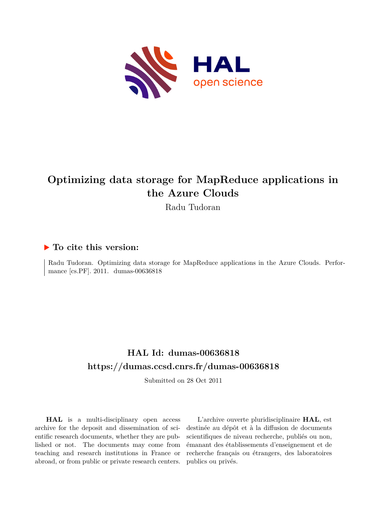

# **Optimizing data storage for MapReduce applications in the Azure Clouds**

Radu Tudoran

# **To cite this version:**

Radu Tudoran. Optimizing data storage for MapReduce applications in the Azure Clouds. Performance [cs.PF]. 2011. dumas-00636818

# **HAL Id: dumas-00636818 <https://dumas.ccsd.cnrs.fr/dumas-00636818>**

Submitted on 28 Oct 2011

**HAL** is a multi-disciplinary open access archive for the deposit and dissemination of scientific research documents, whether they are published or not. The documents may come from teaching and research institutions in France or abroad, or from public or private research centers.

L'archive ouverte pluridisciplinaire **HAL**, est destinée au dépôt et à la diffusion de documents scientifiques de niveau recherche, publiés ou non, émanant des établissements d'enseignement et de recherche français ou étrangers, des laboratoires publics ou privés.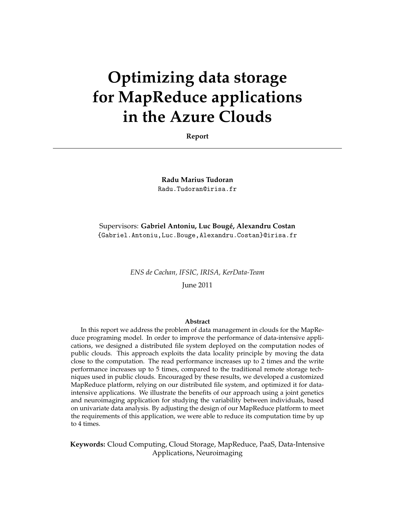# **Optimizing data storage for MapReduce applications in the Azure Clouds**

**Report**

**Radu Marius Tudoran** Radu.Tudoran@irisa.fr

Supervisors: Gabriel Antoniu, Luc Bougé, Alexandru Costan {Gabriel.Antoniu,Luc.Bouge,Alexandru.Costan}@irisa.fr

*ENS de Cachan, IFSIC, IRISA, KerData-Team*

June 2011

#### **Abstract**

In this report we address the problem of data management in clouds for the MapReduce programing model. In order to improve the performance of data-intensive applications, we designed a distributed file system deployed on the computation nodes of public clouds. This approach exploits the data locality principle by moving the data close to the computation. The read performance increases up to 2 times and the write performance increases up to 5 times, compared to the traditional remote storage techniques used in public clouds. Encouraged by these results, we developed a customized MapReduce platform, relying on our distributed file system, and optimized it for dataintensive applications. We illustrate the benefits of our approach using a joint genetics and neuroimaging application for studying the variability between individuals, based on univariate data analysis. By adjusting the design of our MapReduce platform to meet the requirements of this application, we were able to reduce its computation time by up to 4 times.

**Keywords:** Cloud Computing, Cloud Storage, MapReduce, PaaS, Data-Intensive Applications, Neuroimaging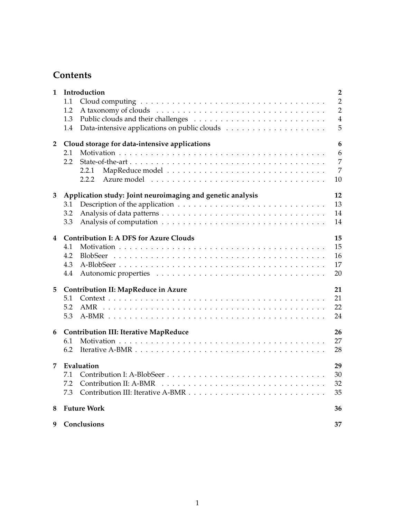# **Contents**

| 1              | Introduction<br>1.1<br>1.2<br>1.3<br>1.4                                                     | $\overline{2}$<br>$\overline{2}$<br>$\overline{2}$<br>$\overline{4}$<br>5 |  |  |
|----------------|----------------------------------------------------------------------------------------------|---------------------------------------------------------------------------|--|--|
| $\overline{2}$ | Cloud storage for data-intensive applications<br>2.1<br>2.2<br>2.2.1<br>2.2.2                | $6\phantom{1}6$<br>6<br>7<br>$\overline{7}$<br>10                         |  |  |
| 3              | Application study: Joint neuroimaging and genetic analysis<br>3.1<br>3.2<br>3.3              | 12<br>13<br>14<br>14                                                      |  |  |
| 4              | <b>Contribution I: A DFS for Azure Clouds</b><br>4.1<br>4.2<br><b>BlobSeer</b><br>4.3<br>4.4 | 15<br>15<br>16<br>17<br>20                                                |  |  |
| 5              | <b>Contribution II: MapReduce in Azure</b><br>5.1<br>5.2<br>5.3                              | 21<br>21<br>22<br>24                                                      |  |  |
| 6              | <b>Contribution III: Iterative MapReduce</b><br>6.1<br>6.2                                   | 26<br>27<br>28                                                            |  |  |
| 7              | Evaluation<br>7.1<br>7.2<br>7.3                                                              | 29<br>30<br>32<br>35                                                      |  |  |
| 8              | <b>Future Work</b><br>36                                                                     |                                                                           |  |  |
| 9              | Conclusions<br>37                                                                            |                                                                           |  |  |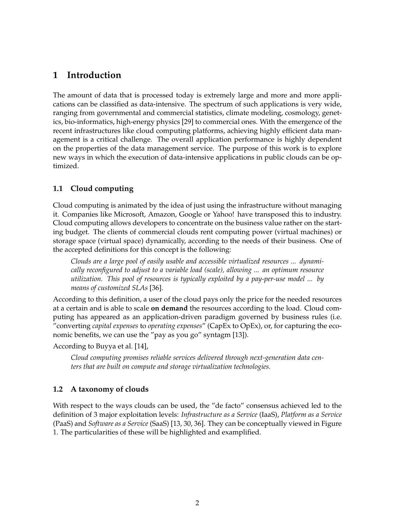# **1 Introduction**

The amount of data that is processed today is extremely large and more and more applications can be classified as data-intensive. The spectrum of such applications is very wide, ranging from governmental and commercial statistics, climate modeling, cosmology, genetics, bio-informatics, high-energy physics [29] to commercial ones. With the emergence of the recent infrastructures like cloud computing platforms, achieving highly efficient data management is a critical challenge. The overall application performance is highly dependent on the properties of the data management service. The purpose of this work is to explore new ways in which the execution of data-intensive applications in public clouds can be optimized.

### **1.1 Cloud computing**

Cloud computing is animated by the idea of just using the infrastructure without managing it. Companies like Microsoft, Amazon, Google or Yahoo! have transposed this to industry. Cloud computing allows developers to concentrate on the business value rather on the starting budget. The clients of commercial clouds rent computing power (virtual machines) or storage space (virtual space) dynamically, according to the needs of their business. One of the accepted definitions for this concept is the following:

*Clouds are a large pool of easily usable and accessible virtualized resources ... dynamically reconfigured to adjust to a variable load (scale), allowing ... an optimum resource utilization. This pool of resources is typically exploited by a pay-per-use model ... by means of customized SLAs* [36].

According to this definition, a user of the cloud pays only the price for the needed resources at a certain and is able to scale **on demand** the resources according to the load. Cloud computing has appeared as an application-driven paradigm governed by business rules (i.e. "converting *capital expenses* to *operating expenses*" (CapEx to OpEx), or, for capturing the economic benefits, we can use the "pay as you go" syntagm [13]).

According to Buyya et al. [14],

*Cloud computing promises reliable services delivered through next-generation data centers that are built on compute and storage virtualization technologies.*

### **1.2 A taxonomy of clouds**

With respect to the ways clouds can be used, the "de facto" consensus achieved led to the definition of 3 major exploitation levels: *Infrastructure as a Service* (IaaS), *Platform as a Service* (PaaS) and *Software as a Service* (SaaS) [13, 30, 36]. They can be conceptually viewed in Figure 1. The particularities of these will be highlighted and examplified.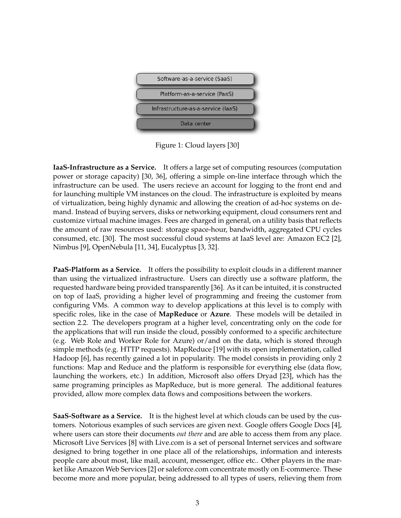

Figure 1: Cloud layers [30]

**IaaS-Infrastructure as a Service.** It offers a large set of computing resources (computation power or storage capacity) [30, 36], offering a simple on-line interface through which the infrastructure can be used. The users recieve an account for logging to the front end and for launching multiple VM instances on the cloud. The infrastructure is exploited by means of virtualization, being highly dynamic and allowing the creation of ad-hoc systems on demand. Instead of buying servers, disks or networking equipment, cloud consumers rent and customize virtual machine images. Fees are charged in general, on a utility basis that reflects the amount of raw resources used: storage space-hour, bandwidth, aggregated CPU cycles consumed, etc. [30]. The most successful cloud systems at IaaS level are: Amazon EC2 [2], Nimbus [9], OpenNebula [11, 34], Eucalyptus [3, 32].

**PaaS-Platform as a Service.** It offers the possibility to exploit clouds in a different manner than using the virtualized infrastructure. Users can directly use a software platform, the requested hardware being provided transparently [36]. As it can be intuited, it is constructed on top of IaaS, providing a higher level of programming and freeing the customer from configuring VMs. A common way to develop applications at this level is to comply with specific roles, like in the case of **MapReduce** or **Azure**. These models will be detailed in section 2.2. The developers program at a higher level, concentrating only on the code for the applications that will run inside the cloud, possibly conformed to a specific architecture (e.g. Web Role and Worker Role for Azure) or/and on the data, which is stored through simple methods (e.g. HTTP requests). MapReduce [19] with its open implementation, called Hadoop [6], has recently gained a lot in popularity. The model consists in providing only 2 functions: Map and Reduce and the platform is responsible for everything else (data flow, launching the workers, etc.) In addition, Microsoft also offers Dryad [23], which has the same programing principles as MapReduce, but is more general. The additional features provided, allow more complex data flows and compositions between the workers.

**SaaS-Software as a Service.** It is the highest level at which clouds can be used by the customers. Notorious examples of such services are given next. Google offers Google Docs [4], where users can store their documents *out there* and are able to access them from any place. Microsoft Live Services [8] with Live.com is a set of personal Internet services and software designed to bring together in one place all of the relationships, information and interests people care about most, like mail, account, messenger, office etc.. Other players in the market like Amazon Web Services [2] or saleforce.com concentrate mostly on E-commerce. These become more and more popular, being addressed to all types of users, relieving them from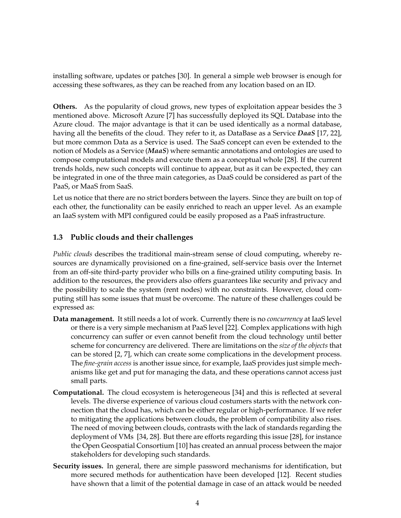installing software, updates or patches [30]. In general a simple web browser is enough for accessing these softwares, as they can be reached from any location based on an ID.

**Others.** As the popularity of cloud grows, new types of exploitation appear besides the 3 mentioned above. Microsoft Azure [7] has successfully deployed its SQL Database into the Azure cloud. The major advantage is that it can be used identically as a normal database, having all the benefits of the cloud. They refer to it, as DataBase as a Service *DaaS* [17, 22], but more common Data as a Service is used. The SaaS concept can even be extended to the notion of Models as a Service (*MaaS*) where semantic annotations and ontologies are used to compose computational models and execute them as a conceptual whole [28]. If the current trends holds, new such concepts will continue to appear, but as it can be expected, they can be integrated in one of the three main categories, as DaaS could be considered as part of the PaaS, or MaaS from SaaS.

Let us notice that there are no strict borders between the layers. Since they are built on top of each other, the functionality can be easily enriched to reach an upper level. As an example an IaaS system with MPI configured could be easily proposed as a PaaS infrastructure.

#### **1.3 Public clouds and their challenges**

*Public clouds* describes the traditional main-stream sense of cloud computing, whereby resources are dynamically provisioned on a fine-grained, self-service basis over the Internet from an off-site third-party provider who bills on a fine-grained utility computing basis. In addition to the resources, the providers also offers guarantees like security and privacy and the possibility to scale the system (rent nodes) with no constraints. However, cloud computing still has some issues that must be overcome. The nature of these challenges could be expressed as:

- **Data management.** It still needs a lot of work. Currently there is no *concurrency* at IaaS level or there is a very simple mechanism at PaaS level [22]. Complex applications with high concurrency can suffer or even cannot benefit from the cloud technology until better scheme for concurrency are delivered. There are limitations on the *size of the objects* that can be stored [2, 7], which can create some complications in the development process. The *fine-grain access* is another issue since, for example, IaaS provides just simple mechanisms like get and put for managing the data, and these operations cannot access just small parts.
- **Computational.** The cloud ecosystem is heterogeneous [34] and this is reflected at several levels. The diverse experience of various cloud costumers starts with the network connection that the cloud has, which can be either regular or high-performance. If we refer to mitigating the applications between clouds, the problem of compatibility also rises. The need of moving between clouds, contrasts with the lack of standards regarding the deployment of VMs [34, 28]. But there are efforts regarding this issue [28], for instance the Open Geospatial Consortium [10] has created an annual process between the major stakeholders for developing such standards.
- **Security issues.** In general, there are simple password mechanisms for identification, but more secured methods for authentication have been developed [12]. Recent studies have shown that a limit of the potential damage in case of an attack would be needed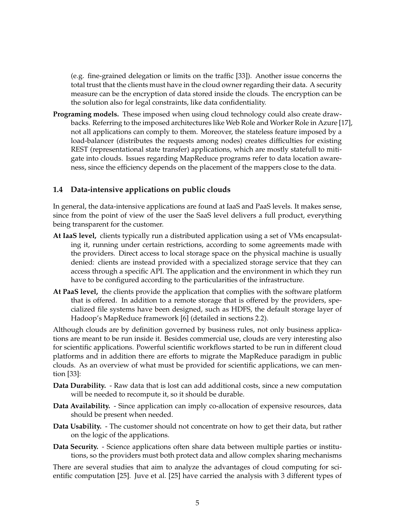(e.g. fine-grained delegation or limits on the traffic [33]). Another issue concerns the total trust that the clients must have in the cloud owner regarding their data. A security measure can be the encryption of data stored inside the clouds. The encryption can be the solution also for legal constraints, like data confidentiality.

**Programing models.** These imposed when using cloud technology could also create drawbacks. Referring to the imposed architectures like Web Role and Worker Role in Azure [17], not all applications can comply to them. Moreover, the stateless feature imposed by a load-balancer (distributes the requests among nodes) creates difficulties for existing REST (representational state transfer) applications, which are mostly statefull to mitigate into clouds. Issues regarding MapReduce programs refer to data location awareness, since the efficiency depends on the placement of the mappers close to the data.

#### **1.4 Data-intensive applications on public clouds**

In general, the data-intensive applications are found at IaaS and PaaS levels. It makes sense, since from the point of view of the user the SaaS level delivers a full product, everything being transparent for the customer.

- **At IaaS level,** clients typically run a distributed application using a set of VMs encapsulating it, running under certain restrictions, according to some agreements made with the providers. Direct access to local storage space on the physical machine is usually denied: clients are instead provided with a specialized storage service that they can access through a specific API. The application and the environment in which they run have to be configured according to the particularities of the infrastructure.
- **At PaaS level,** the clients provide the application that complies with the software platform that is offered. In addition to a remote storage that is offered by the providers, specialized file systems have been designed, such as HDFS, the default storage layer of Hadoop's MapReduce framework [6] (detailed in sections 2.2).

Although clouds are by definition governed by business rules, not only business applications are meant to be run inside it. Besides commercial use, clouds are very interesting also for scientific applications. Powerful scientific workflows started to be run in different cloud platforms and in addition there are efforts to migrate the MapReduce paradigm in public clouds. As an overview of what must be provided for scientific applications, we can mention [33]:

- **Data Durability.** Raw data that is lost can add additional costs, since a new computation will be needed to recompute it, so it should be durable.
- **Data Availability.** Since application can imply co-allocation of expensive resources, data should be present when needed.
- **Data Usability.** The customer should not concentrate on how to get their data, but rather on the logic of the applications.
- **Data Security.** Science applications often share data between multiple parties or institutions, so the providers must both protect data and allow complex sharing mechanisms

There are several studies that aim to analyze the advantages of cloud computing for scientific computation [25]. Juve et al. [25] have carried the analysis with 3 different types of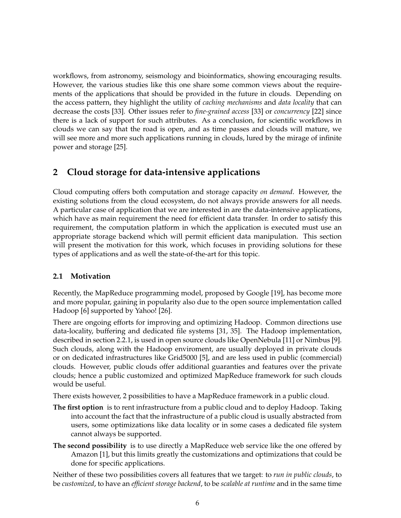workflows, from astronomy, seismology and bioinformatics, showing encouraging results. However, the various studies like this one share some common views about the requirements of the applications that should be provided in the future in clouds. Depending on the access pattern, they highlight the utility of *caching mechanisms* and *data locality* that can decrease the costs [33]. Other issues refer to *fine-grained access* [33] or *concurrency* [22] since there is a lack of support for such attributes. As a conclusion, for scientific workflows in clouds we can say that the road is open, and as time passes and clouds will mature, we will see more and more such applications running in clouds, lured by the mirage of infinite power and storage [25].

# **2 Cloud storage for data-intensive applications**

Cloud computing offers both computation and storage capacity *on demand*. However, the existing solutions from the cloud ecosystem, do not always provide answers for all needs. A particular case of application that we are interested in are the data-intensive applications, which have as main requirement the need for efficient data transfer. In order to satisfy this requirement, the computation platform in which the application is executed must use an appropriate storage backend which will permit efficient data manipulation. This section will present the motivation for this work, which focuses in providing solutions for these types of applications and as well the state-of-the-art for this topic.

### **2.1 Motivation**

Recently, the MapReduce programming model, proposed by Google [19], has become more and more popular, gaining in popularity also due to the open source implementation called Hadoop [6] supported by Yahoo! [26].

There are ongoing efforts for improving and optimizing Hadoop. Common directions use data-locality, buffering and dedicated file systems [31, 35]. The Hadoop implementation, described in section 2.2.1, is used in open source clouds like OpenNebula [11] or Nimbus [9]. Such clouds, along with the Hadoop enviroment, are usually deployed in private clouds or on dedicated infrastructures like Grid5000 [5], and are less used in public (commercial) clouds. However, public clouds offer additional guaranties and features over the private clouds; hence a public customized and optimized MapReduce framework for such clouds would be useful.

There exists however, 2 possibilities to have a MapReduce framework in a public cloud.

- **The first option** is to rent infrastructure from a public cloud and to deploy Hadoop. Taking into account the fact that the infrastructure of a public cloud is usually abstracted from users, some optimizations like data locality or in some cases a dedicated file system cannot always be supported.
- **The second possibility** is to use directly a MapReduce web service like the one offered by Amazon [1], but this limits greatly the customizations and optimizations that could be done for specific applications.

Neither of these two possibilities covers all features that we target: to *run in public clouds*, to be *customized*, to have an *efficient storage backend*, to be *scalable at runtime* and in the same time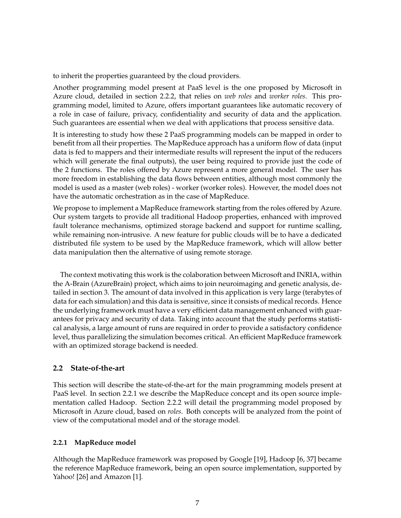to inherit the properties guaranteed by the cloud providers.

Another programming model present at PaaS level is the one proposed by Microsoft in Azure cloud, detailed in section 2.2.2, that relies on *web roles* and *worker roles*. This programming model, limited to Azure, offers important guarantees like automatic recovery of a role in case of failure, privacy, confidentiality and security of data and the application. Such guarantees are essential when we deal with applications that process sensitive data.

It is interesting to study how these 2 PaaS programming models can be mapped in order to benefit from all their properties. The MapReduce approach has a uniform flow of data (input data is fed to mappers and their intermediate results will represent the input of the reducers which will generate the final outputs), the user being required to provide just the code of the 2 functions. The roles offered by Azure represent a more general model. The user has more freedom in establishing the data flows between entities, although most commonly the model is used as a master (web roles) - worker (worker roles). However, the model does not have the automatic orchestration as in the case of MapReduce.

We propose to implement a MapReduce framework starting from the roles offered by Azure. Our system targets to provide all traditional Hadoop properties, enhanced with improved fault tolerance mechanisms, optimized storage backend and support for runtime scalling, while remaining non-intrusive. A new feature for public clouds will be to have a dedicated distributed file system to be used by the MapReduce framework, which will allow better data manipulation then the alternative of using remote storage.

The context motivating this work is the colaboration between Microsoft and INRIA, within the A-Brain (AzureBrain) project, which aims to join neuroimaging and genetic analysis, detailed in section 3. The amount of data involved in this application is very large (terabytes of data for each simulation) and this data is sensitive, since it consists of medical records. Hence the underlying framework must have a very efficient data management enhanced with guarantees for privacy and security of data. Taking into account that the study performs statistical analysis, a large amount of runs are required in order to provide a satisfactory confidence level, thus parallelizing the simulation becomes critical. An efficient MapReduce framework with an optimized storage backend is needed.

#### **2.2 State-of-the-art**

This section will describe the state-of-the-art for the main programming models present at PaaS level. In section 2.2.1 we describe the MapReduce concept and its open source implementation called Hadoop. Section 2.2.2 will detail the programming model proposed by Microsoft in Azure cloud, based on *roles*. Both concepts will be analyzed from the point of view of the computational model and of the storage model.

#### **2.2.1 MapReduce model**

Although the MapReduce framework was proposed by Google [19], Hadoop [6, 37] became the reference MapReduce framework, being an open source implementation, supported by Yahoo! [26] and Amazon [1].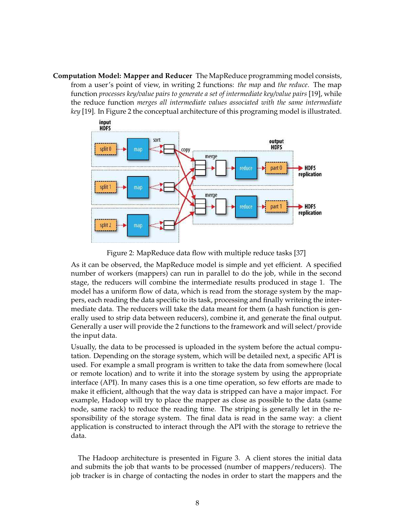**Computation Model: Mapper and Reducer** The MapReduce programming model consists, from a user's point of view, in writing 2 functions: *the map* and *the reduce*. The map function *processes key/value pairs to generate a set of intermediate key/value pairs* [19], while the reduce function *merges all intermediate values associated with the same intermediate key* [19]. In Figure 2 the conceptual architecture of this programing model is illustrated.





As it can be observed, the MapReduce model is simple and yet efficient. A specified number of workers (mappers) can run in parallel to do the job, while in the second stage, the reducers will combine the intermediate results produced in stage 1. The model has a uniform flow of data, which is read from the storage system by the mappers, each reading the data specific to its task, processing and finally writeing the intermediate data. The reducers will take the data meant for them (a hash function is generally used to strip data between reducers), combine it, and generate the final output. Generally a user will provide the 2 functions to the framework and will select/provide the input data.

Usually, the data to be processed is uploaded in the system before the actual computation. Depending on the storage system, which will be detailed next, a specific API is used. For example a small program is written to take the data from somewhere (local or remote location) and to write it into the storage system by using the appropriate interface (API). In many cases this is a one time operation, so few efforts are made to make it efficient, although that the way data is stripped can have a major impact. For example, Hadoop will try to place the mapper as close as possible to the data (same node, same rack) to reduce the reading time. The striping is generally let in the responsibility of the storage system. The final data is read in the same way: a client application is constructed to interact through the API with the storage to retrieve the data.

The Hadoop architecture is presented in Figure 3. A client stores the initial data and submits the job that wants to be processed (number of mappers/reducers). The job tracker is in charge of contacting the nodes in order to start the mappers and the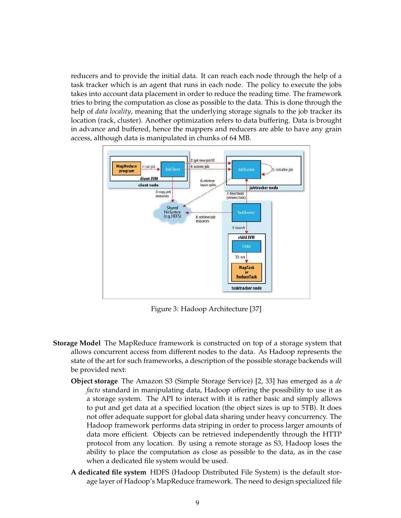reducers and to provide the initial data. It can reach each node through the help of a task tracker which is an agent that runs in each node. The policy to execute the jobs takes into account data placement in order to reduce the reading time. The framework tries to bring the computation as close as possible to the data. This is done through the help of *data locality*, meaning that the underlying storage signals to the job tracker its location (rack, cluster). Another optimization refers to data buffering. Data is brought in advance and buffered, hence the mappers and reducers are able to have any grain access, although data is manipulated in chunks of 64 MB.



Figure 3: Hadoop Architecture [37]

- **Storage Model** The MapReduce framework is constructed on top of a storage system that allows concurrent access from different nodes to the data. As Hadoop represents the state of the art for such frameworks, a description of the possible storage backends will be provided next:
	- **Object storage** The Amazon S3 (Simple Storage Service) [2, 33] has emerged as a *de facto* standard in manipulating data, Hadoop offering the possibility to use it as a storage system. The API to interact with it is rather basic and simply allows to put and get data at a specified location (the object sizes is up to 5TB). It does not offer adequate support for global data sharing under heavy concurrency. The Hadoop framework performs data striping in order to process larger amounts of data more efficient. Objects can be retrieved independently through the HTTP protocol from any location. By using a remote storage as S3, Hadoop loses the ability to place the computation as close as possible to the data, as in the case when a dedicated file system would be used.
	- **A dedicated file system** HDFS (Hadoop Distributed File System) is the default storage layer of Hadoop's MapReduce framework. The need to design specialized file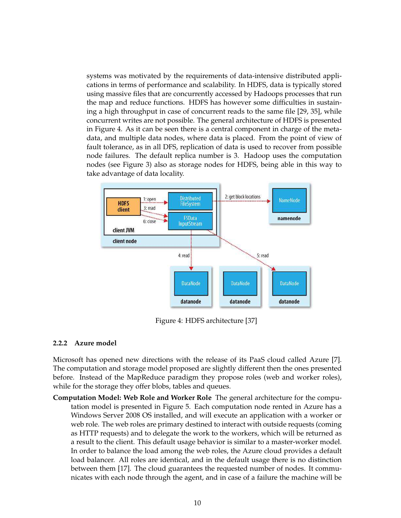systems was motivated by the requirements of data-intensive distributed applications in terms of performance and scalability. In HDFS, data is typically stored using massive files that are concurrently accessed by Hadoops processes that run the map and reduce functions. HDFS has however some difficulties in sustaining a high throughput in case of concurrent reads to the same file [29, 35], while concurrent writes are not possible. The general architecture of HDFS is presented in Figure 4. As it can be seen there is a central component in charge of the metadata, and multiple data nodes, where data is placed. From the point of view of fault tolerance, as in all DFS, replication of data is used to recover from possible node failures. The default replica number is 3. Hadoop uses the computation nodes (see Figure 3) also as storage nodes for HDFS, being able in this way to take advantage of data locality.



Figure 4: HDFS architecture [37]

#### **2.2.2 Azure model**

Microsoft has opened new directions with the release of its PaaS cloud called Azure [7]. The computation and storage model proposed are slightly different then the ones presented before. Instead of the MapReduce paradigm they propose roles (web and worker roles), while for the storage they offer blobs, tables and queues.

**Computation Model: Web Role and Worker Role** The general architecture for the computation model is presented in Figure 5. Each computation node rented in Azure has a Windows Server 2008 OS installed, and will execute an application with a worker or web role. The web roles are primary destined to interact with outside requests (coming as HTTP requests) and to delegate the work to the workers, which will be returned as a result to the client. This default usage behavior is similar to a master-worker model. In order to balance the load among the web roles, the Azure cloud provides a default load balancer. All roles are identical, and in the default usage there is no distinction between them [17]. The cloud guarantees the requested number of nodes. It communicates with each node through the agent, and in case of a failure the machine will be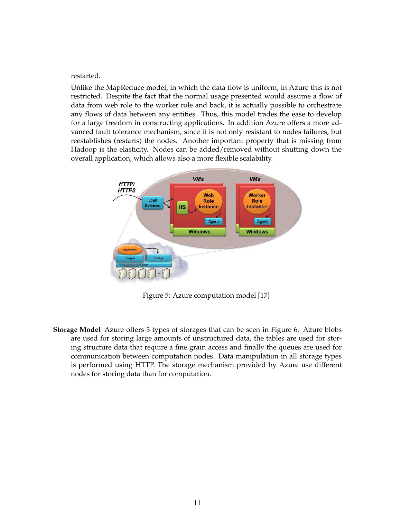restarted.

Unlike the MapReduce model, in which the data flow is uniform, in Azure this is not restricted. Despite the fact that the normal usage presented would assume a flow of data from web role to the worker role and back, it is actually possible to orchestrate any flows of data between any entities. Thus, this model trades the ease to develop for a large freedom in constructing applications. In addition Azure offers a more advanced fault tolerance mechanism, since it is not only resistant to nodes failures, but reestablishes (restarts) the nodes. Another important property that is missing from Hadoop is the elasticity. Nodes can be added/removed without shutting down the overall application, which allows also a more flexible scalability.



Figure 5: Azure computation model [17]

**Storage Model** Azure offers 3 types of storages that can be seen in Figure 6. Azure blobs are used for storing large amounts of unstructured data, the tables are used for storing structure data that require a fine grain access and finally the queues are used for communication between computation nodes. Data manipulation in all storage types is performed using HTTP. The storage mechanism provided by Azure use different nodes for storing data than for computation.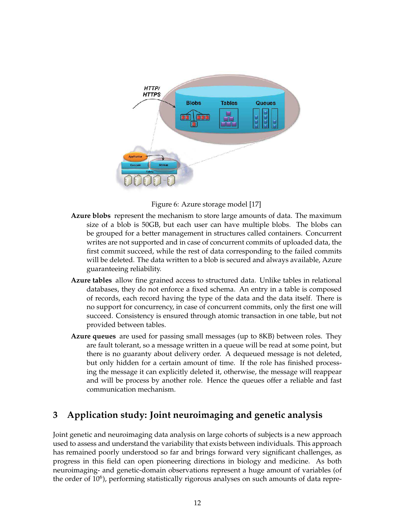

Figure 6: Azure storage model [17]

- **Azure blobs** represent the mechanism to store large amounts of data. The maximum size of a blob is 50GB, but each user can have multiple blobs. The blobs can be grouped for a better management in structures called containers. Concurrent writes are not supported and in case of concurrent commits of uploaded data, the first commit succeed, while the rest of data corresponding to the failed commits will be deleted. The data written to a blob is secured and always available, Azure guaranteeing reliability.
- **Azure tables** allow fine grained access to structured data. Unlike tables in relational databases, they do not enforce a fixed schema. An entry in a table is composed of records, each record having the type of the data and the data itself. There is no support for concurrency, in case of concurrent commits, only the first one will succeed. Consistency is ensured through atomic transaction in one table, but not provided between tables.
- **Azure queues** are used for passing small messages (up to 8KB) between roles. They are fault tolerant, so a message written in a queue will be read at some point, but there is no guaranty about delivery order. A dequeued message is not deleted, but only hidden for a certain amount of time. If the role has finished processing the message it can explicitly deleted it, otherwise, the message will reappear and will be process by another role. Hence the queues offer a reliable and fast communication mechanism.

# **3 Application study: Joint neuroimaging and genetic analysis**

Joint genetic and neuroimaging data analysis on large cohorts of subjects is a new approach used to assess and understand the variability that exists between individuals. This approach has remained poorly understood so far and brings forward very significant challenges, as progress in this field can open pioneering directions in biology and medicine. As both neuroimaging- and genetic-domain observations represent a huge amount of variables (of the order of  $10^6$ ), performing statistically rigorous analyses on such amounts of data repre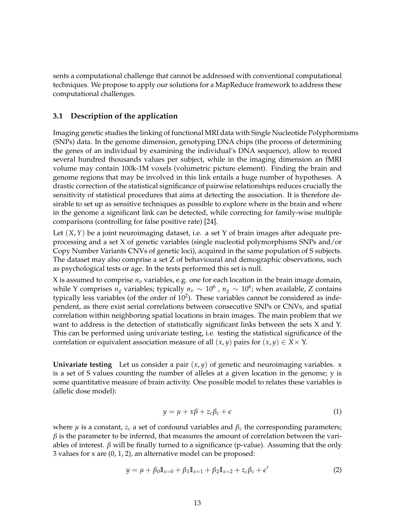sents a computational challenge that cannot be addressed with conventional computational techniques. We propose to apply our solutions for a MapReduce framework to address these computational challenges.

#### **3.1 Description of the application**

Imaging genetic studies the linking of functional MRI data with Single Nucleotide Polyphormisms (SNPs) data. In the genome dimension, genotyping DNA chips (the process of determining the genes of an individual by examining the individual's DNA sequence), allow to record several hundred thousands values per subject, while in the imaging dimension an fMRI volume may contain 100k-1M voxels (volumetric picture element). Finding the brain and genome regions that may be involved in this link entails a huge number of hypotheses. A drastic correction of the statistical significance of pairwise relationships reduces crucially the sensitivity of statistical procedures that aims at detecting the association. It is therefore desirable to set up as sensitive techniques as possible to explore where in the brain and where in the genome a significant link can be detected, while correcting for family-wise multiple comparisons (controlling for false positive rate) [24].

Let (*X*,*Y*) be a joint neuroimaging dataset, i.e. a set Y of brain images after adequate preprocessing and a set X of genetic variables (single nucleotid polymorphisms SNPs and/or Copy Number Variants CNVs of genetic loci), acquired in the same population of S subjects. The dataset may also comprise a set Z of behavioural and demographic observations, such as psychological tests or age. In the tests performed this set is null.

X is assumed to comprise  $n_v$  variables, e.g. one for each location in the brain image domain, while Y comprises  $n_g$  variables; typically  $n_v \sim 10^6$  ,  $n_g \sim 10^6$ ; when available, Z contains typically less variables (of the order of  $10^2$ ). These variables cannot be considered as independent, as there exist serial correlations between consecutive SNPs or CNVs, and spatial correlation within neighboring spatial locations in brain images. The main problem that we want to address is the detection of statistically significant links between the sets X and Y. This can be performed using univariate testing, i.e. testing the statistical significance of the correlation or equivalent association measure of all  $(x, y)$  pairs for  $(x, y) \in X \times Y$ .

**Univariate testing** Let us consider a pair  $(x, y)$  of genetic and neuroimaging variables. x is a set of S values counting the number of alleles at a given location in the genome; y is some quantitative measure of brain activity. One possible model to relates these variables is (allelic dose model):

$$
y = \mu + x\beta + z_c\beta_c + \epsilon \tag{1}
$$

where *µ* is a constant, *z<sup>c</sup>* a set of confound variables and *β<sup>c</sup>* the corresponding parameters;  $\beta$  is the parameter to be inferred, that measures the amount of correlation between the variables of interest.  $β$  will be finally turned to a significance ( $p$ -value). Assuming that the only 3 values for x are (0, 1, 2), an alternative model can be proposed:

$$
y = \mu + \beta_0 \mathbb{I}_{x=0} + \beta_1 \mathbb{I}_{x=1} + \beta_2 \mathbb{I}_{x=2} + z_c \beta_c + \epsilon'
$$
 (2)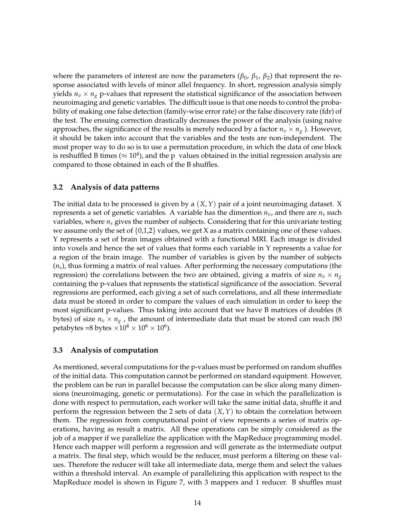where the parameters of interest are now the parameters ( $\beta_0$ ,  $\beta_1$ ,  $\beta_2$ ) that represent the response associated with levels of minor allel frequency. In short, regression analysis simply yields  $n_v \times n_g$  p-values that represent the statistical significance of the association between neuroimaging and genetic variables. The difficult issue is that one needs to control the probability of making one false detection (family-wise error rate) or the false discovery rate (fdr) of the test. The ensuing correction drastically decreases the power of the analysis (using naive approaches, the significance of the results is merely reduced by a factor  $n_v \times n_g$ ). However, it should be taken into account that the variables and the tests are non-independent. The most proper way to do so is to use a permutation procedure, in which the data of one block is reshuffled B times ( $\approx 10^4$ ), and the p values obtained in the initial regression analysis are compared to those obtained in each of the B shuffles.

#### **3.2 Analysis of data patterns**

The initial data to be processed is given by a (*X*,*Y*) pair of a joint neuroimaging dataset. X represents a set of genetic variables. A variable has the dimention  $n_v$ , and there are  $n_s$  such variables, where  $n<sub>s</sub>$  gives the number of subjects. Considering that for this univariate testing we assume only the set of  $\{0,1,2\}$  values, we get X as a matrix containing one of these values. Y represents a set of brain images obtained with a functional MRI. Each image is divided into voxels and hence the set of values that forms each variable in Y represents a value for a region of the brain image. The number of variables is given by the number of subjects (*ns*), thus forming a matrix of real values. After performing the necessary computations (the regression) the correlations between the two are obtained, giving a matrix of size  $n_v \times n_g$ containing the p-values that represents the statistical significance of the association. Several regressions are performed, each giving a set of such correlations, and all these intermediate data must be stored in order to compare the values of each simulation in order to keep the most significant p-values. Thus taking into account that we have B matrices of doubles (8 bytes) of size  $n_v \times n_g$ , the amount of intermediate data that must be stored can reach (80 petabytes =8 bytes  $\times 10^4 \times 10^6 \times 10^6$ ).

#### **3.3 Analysis of computation**

As mentioned, several computations for the p-values must be performed on random shuffles of the initial data. This computation cannot be performed on standard equipment. However, the problem can be run in parallel because the computation can be slice along many dimensions (neuroimaging, genetic or permutations). For the case in which the parallelization is done with respect to permutation, each worker will take the same initial data, shuffle it and perform the regression between the 2 sets of data (*X*,*Y*) to obtain the correlation between them. The regression from computational point of view represents a series of matrix operations, having as result a matrix. All these operations can be simply considered as the job of a mapper if we parallelize the application with the MapReduce programming model. Hence each mapper will perform a regression and will generate as the intermediate output a matrix. The final step, which would be the reducer, must perform a filtering on these values. Therefore the reducer will take all intermediate data, merge them and select the values within a threshold interval. An example of parallelizing this application with respect to the MapReduce model is shown in Figure 7, with 3 mappers and 1 reducer. B shuffles must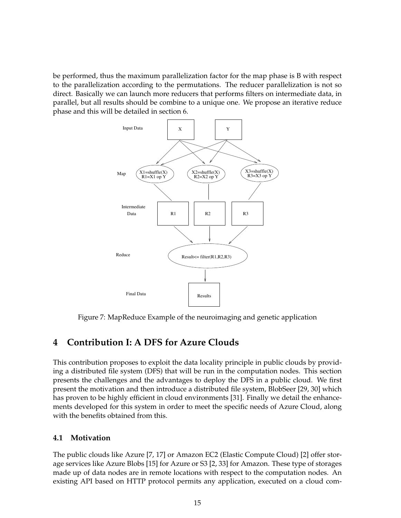be performed, thus the maximum parallelization factor for the map phase is B with respect to the parallelization according to the permutations. The reducer parallelization is not so direct. Basically we can launch more reducers that performs filters on intermediate data, in parallel, but all results should be combine to a unique one. We propose an iterative reduce phase and this will be detailed in section 6.



Figure 7: MapReduce Example of the neuroimaging and genetic application

# **4 Contribution I: A DFS for Azure Clouds**

This contribution proposes to exploit the data locality principle in public clouds by providing a distributed file system (DFS) that will be run in the computation nodes. This section presents the challenges and the advantages to deploy the DFS in a public cloud. We first present the motivation and then introduce a distributed file system, BlobSeer [29, 30] which has proven to be highly efficient in cloud environments [31]. Finally we detail the enhancements developed for this system in order to meet the specific needs of Azure Cloud, along with the benefits obtained from this.

#### **4.1 Motivation**

The public clouds like Azure [7, 17] or Amazon EC2 (Elastic Compute Cloud) [2] offer storage services like Azure Blobs [15] for Azure or S3 [2, 33] for Amazon. These type of storages made up of data nodes are in remote locations with respect to the computation nodes. An existing API based on HTTP protocol permits any application, executed on a cloud com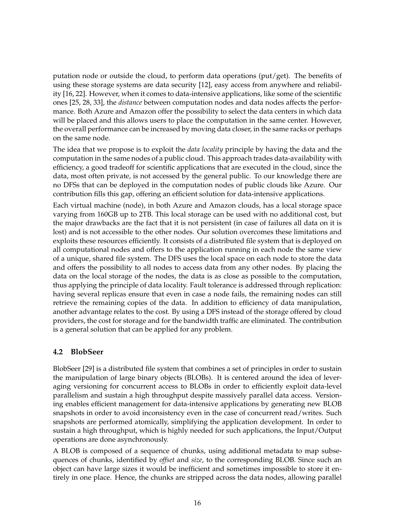putation node or outside the cloud, to perform data operations (put/get). The benefits of using these storage systems are data security [12], easy access from anywhere and reliability [16, 22]. However, when it comes to data-intensive applications, like some of the scientific ones [25, 28, 33], the *distance* between computation nodes and data nodes affects the performance. Both Azure and Amazon offer the possibility to select the data centers in which data will be placed and this allows users to place the computation in the same center. However, the overall performance can be increased by moving data closer, in the same racks or perhaps on the same node.

The idea that we propose is to exploit the *data locality* principle by having the data and the computation in the same nodes of a public cloud. This approach trades data-availability with efficiency, a good tradeoff for scientific applications that are executed in the cloud, since the data, most often private, is not accessed by the general public. To our knowledge there are no DFSs that can be deployed in the computation nodes of public clouds like Azure. Our contribution fills this gap, offering an efficient solution for data-intensive applications.

Each virtual machine (node), in both Azure and Amazon clouds, has a local storage space varying from 160GB up to 2TB. This local storage can be used with no additional cost, but the major drawbacks are the fact that it is not persistent (in case of failures all data on it is lost) and is not accessible to the other nodes. Our solution overcomes these limitations and exploits these resources efficiently. It consists of a distributed file system that is deployed on all computational nodes and offers to the application running in each node the same view of a unique, shared file system. The DFS uses the local space on each node to store the data and offers the possibility to all nodes to access data from any other nodes. By placing the data on the local storage of the nodes, the data is as close as possible to the computation, thus applying the principle of data locality. Fault tolerance is addressed through replication: having several replicas ensure that even in case a node fails, the remaining nodes can still retrieve the remaining copies of the data. In addition to efficiency of data manipulation, another advantage relates to the cost. By using a DFS instead of the storage offered by cloud providers, the cost for storage and for the bandwidth traffic are eliminated. The contribution is a general solution that can be applied for any problem.

#### **4.2 BlobSeer**

BlobSeer [29] is a distributed file system that combines a set of principles in order to sustain the manipulation of large binary objects (BLOBs). It is centered around the idea of leveraging versioning for concurrent access to BLOBs in order to efficiently exploit data-level parallelism and sustain a high throughput despite massively parallel data access. Versioning enables efficient management for data-intensive applications by generating new BLOB snapshots in order to avoid inconsistency even in the case of concurrent read/writes. Such snapshots are performed atomically, simplifying the application development. In order to sustain a high throughput, which is highly needed for such applications, the Input/Output operations are done asynchronously.

A BLOB is composed of a sequence of chunks, using additional metadata to map subsequences of chunks, identified by *offset* and *size*, to the corresponding BLOB. Since such an object can have large sizes it would be inefficient and sometimes impossible to store it entirely in one place. Hence, the chunks are stripped across the data nodes, allowing parallel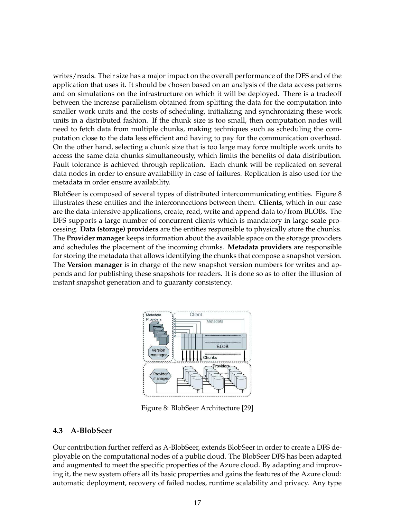writes/reads. Their size has a major impact on the overall performance of the DFS and of the application that uses it. It should be chosen based on an analysis of the data access patterns and on simulations on the infrastructure on which it will be deployed. There is a tradeoff between the increase parallelism obtained from splitting the data for the computation into smaller work units and the costs of scheduling, initializing and synchronizing these work units in a distributed fashion. If the chunk size is too small, then computation nodes will need to fetch data from multiple chunks, making techniques such as scheduling the computation close to the data less efficient and having to pay for the communication overhead. On the other hand, selecting a chunk size that is too large may force multiple work units to access the same data chunks simultaneously, which limits the benefits of data distribution. Fault tolerance is achieved through replication. Each chunk will be replicated on several data nodes in order to ensure availability in case of failures. Replication is also used for the metadata in order ensure availability.

BlobSeer is composed of several types of distributed intercommunicating entities. Figure 8 illustrates these entities and the interconnections between them. **Clients**, which in our case are the data-intensive applications, create, read, write and append data to/from BLOBs. The DFS supports a large number of concurrent clients which is mandatory in large scale processing. **Data (storage) providers** are the entities responsible to physically store the chunks. The **Provider manager** keeps information about the available space on the storage providers and schedules the placement of the incoming chunks. **Metadata providers** are responsible for storing the metadata that allows identifying the chunks that compose a snapshot version. The **Version manager** is in charge of the new snapshot version numbers for writes and appends and for publishing these snapshots for readers. It is done so as to offer the illusion of instant snapshot generation and to guaranty consistency.



Figure 8: BlobSeer Architecture [29]

#### **4.3 A-BlobSeer**

Our contribution further refferd as A-BlobSeer, extends BlobSeer in order to create a DFS deployable on the computational nodes of a public cloud. The BlobSeer DFS has been adapted and augmented to meet the specific properties of the Azure cloud. By adapting and improving it, the new system offers all its basic properties and gains the features of the Azure cloud: automatic deployment, recovery of failed nodes, runtime scalability and privacy. Any type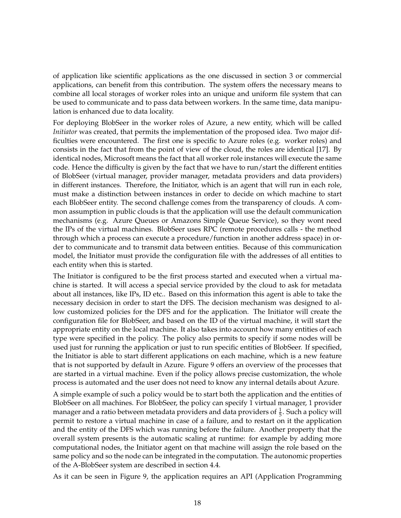of application like scientific applications as the one discussed in section 3 or commercial applications, can benefit from this contribution. The system offers the necessary means to combine all local storages of worker roles into an unique and uniform file system that can be used to communicate and to pass data between workers. In the same time, data manipulation is enhanced due to data locality.

For deploying BlobSeer in the worker roles of Azure, a new entity, which will be called *Initiator* was created, that permits the implementation of the proposed idea. Two major difficulties were encountered. The first one is specific to Azure roles (e.g. worker roles) and consists in the fact that from the point of view of the cloud, the roles are identical [17]. By identical nodes, Microsoft means the fact that all worker role instances will execute the same code. Hence the difficulty is given by the fact that we have to run/start the different entities of BlobSeer (virtual manager, provider manager, metadata providers and data providers) in different instances. Therefore, the Initiator, which is an agent that will run in each role, must make a distinction between instances in order to decide on which machine to start each BlobSeer entity. The second challenge comes from the transparency of clouds. A common assumption in public clouds is that the application will use the default communication mechanisms (e.g. Azure Queues or Amazons Simple Queue Service), so they wont need the IPs of the virtual machines. BlobSeer uses RPC (remote procedures calls - the method through which a process can execute a procedure/function in another address space) in order to communicate and to transmit data between entities. Because of this communication model, the Initiator must provide the configuration file with the addresses of all entities to each entity when this is started.

The Initiator is configured to be the first process started and executed when a virtual machine is started. It will access a special service provided by the cloud to ask for metadata about all instances, like IPs, ID etc.. Based on this information this agent is able to take the necessary decision in order to start the DFS. The decision mechanism was designed to allow customized policies for the DFS and for the application. The Initiator will create the configuration file for BlobSeer, and based on the ID of the virtual machine, it will start the appropriate entity on the local machine. It also takes into account how many entities of each type were specified in the policy. The policy also permits to specify if some nodes will be used just for running the application or just to run specific entities of BlobSeer. If specified, the Initiator is able to start different applications on each machine, which is a new feature that is not supported by default in Azure. Figure 9 offers an overview of the processes that are started in a virtual machine. Even if the policy allows precise customization, the whole process is automated and the user does not need to know any internal details about Azure.

A simple example of such a policy would be to start both the application and the entities of BlobSeer on all machines. For BlobSeer, the policy can specify 1 virtual manager, 1 provider manager and a ratio between metadata providers and data providers of  $\frac{1}{5}$ . Such a policy will permit to restore a virtual machine in case of a failure, and to restart on it the application and the entity of the DFS which was running before the failure. Another property that the overall system presents is the automatic scaling at runtime: for example by adding more computational nodes, the Initiator agent on that machine will assign the role based on the same policy and so the node can be integrated in the computation. The autonomic properties of the A-BlobSeer system are described in section 4.4.

As it can be seen in Figure 9, the application requires an API (Application Programming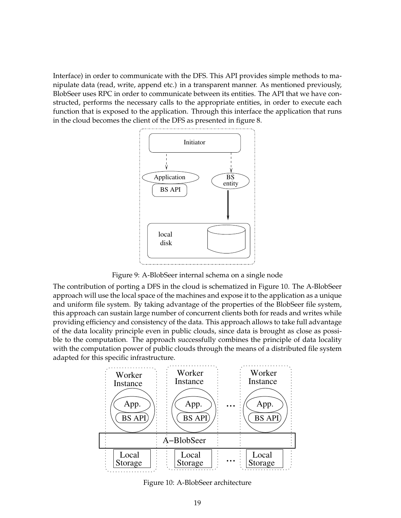Interface) in order to communicate with the DFS. This API provides simple methods to manipulate data (read, write, append etc.) in a transparent manner. As mentioned previously, BlobSeer uses RPC in order to communicate between its entities. The API that we have constructed, performs the necessary calls to the appropriate entities, in order to execute each function that is exposed to the application. Through this interface the application that runs in the cloud becomes the client of the DFS as presented in figure 8.



Figure 9: A-BlobSeer internal schema on a single node

The contribution of porting a DFS in the cloud is schematized in Figure 10. The A-BlobSeer approach will use the local space of the machines and expose it to the application as a unique and uniform file system. By taking advantage of the properties of the BlobSeer file system, this approach can sustain large number of concurrent clients both for reads and writes while providing efficiency and consistency of the data. This approach allows to take full advantage of the data locality principle even in public clouds, since data is brought as close as possible to the computation. The approach successfully combines the principle of data locality with the computation power of public clouds through the means of a distributed file system adapted for this specific infrastructure.



Figure 10: A-BlobSeer architecture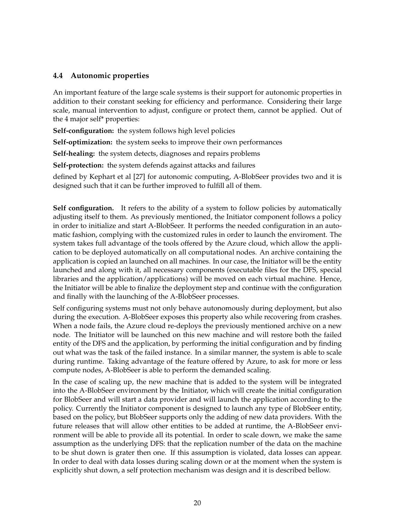#### **4.4 Autonomic properties**

An important feature of the large scale systems is their support for autonomic properties in addition to their constant seeking for efficiency and performance. Considering their large scale, manual intervention to adjust, configure or protect them, cannot be applied. Out of the 4 major self\* properties:

**Self-configuration:** the system follows high level policies

**Self-optimization:** the system seeks to improve their own performances

**Self-healing:** the system detects, diagnoses and repairs problems

**Self-protection:** the system defends against attacks and failures

defined by Kephart et al [27] for autonomic computing, A-BlobSeer provides two and it is designed such that it can be further improved to fulfill all of them.

**Self configuration.** It refers to the ability of a system to follow policies by automatically adjusting itself to them. As previously mentioned, the Initiator component follows a policy in order to initialize and start A-BlobSeer. It performs the needed configuration in an automatic fashion, complying with the customized rules in order to launch the enviroment. The system takes full advantage of the tools offered by the Azure cloud, which allow the application to be deployed automatically on all computational nodes. An archive containing the application is copied an launched on all machines. In our case, the Initiator will be the entity launched and along with it, all necessary components (executable files for the DFS, special libraries and the application/applications) will be moved on each virtual machine. Hence, the Initiator will be able to finalize the deployment step and continue with the configuration and finally with the launching of the A-BlobSeer processes.

Self configuring systems must not only behave autonomously during deployment, but also during the execution. A-BlobSeer exposes this property also while recovering from crashes. When a node fails, the Azure cloud re-deploys the previously mentioned archive on a new node. The Initiator will be launched on this new machine and will restore both the failed entity of the DFS and the application, by performing the initial configuration and by finding out what was the task of the failed instance. In a similar manner, the system is able to scale during runtime. Taking advantage of the feature offered by Azure, to ask for more or less compute nodes, A-BlobSeer is able to perform the demanded scaling.

In the case of scaling up, the new machine that is added to the system will be integrated into the A-BlobSeer environment by the Initiator, which will create the initial configuration for BlobSeer and will start a data provider and will launch the application according to the policy. Currently the Initiator component is designed to launch any type of BlobSeer entity, based on the policy, but BlobSeer supports only the adding of new data providers. With the future releases that will allow other entities to be added at runtime, the A-BlobSeer environment will be able to provide all its potential. In order to scale down, we make the same assumption as the underlying DFS: that the replication number of the data on the machine to be shut down is grater then one. If this assumption is violated, data losses can appear. In order to deal with data losses during scaling down or at the moment when the system is explicitly shut down, a self protection mechanism was design and it is described bellow.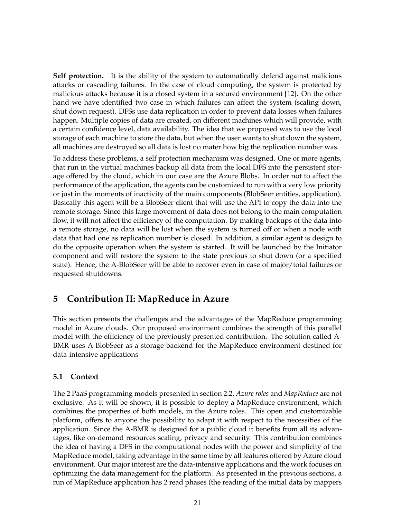**Self protection.** It is the ability of the system to automatically defend against malicious attacks or cascading failures. In the case of cloud computing, the system is protected by malicious attacks because it is a closed system in a secured environment [12]. On the other hand we have identified two case in which failures can affect the system (scaling down, shut down request). DFSs use data replication in order to prevent data losses when failures happen. Multiple copies of data are created, on different machines which will provide, with a certain confidence level, data availability. The idea that we proposed was to use the local storage of each machine to store the data, but when the user wants to shut down the system, all machines are destroyed so all data is lost no mater how big the replication number was.

To address these problems, a self protection mechanism was designed. One or more agents, that run in the virtual machines backup all data from the local DFS into the persistent storage offered by the cloud, which in our case are the Azure Blobs. In order not to affect the performance of the application, the agents can be customized to run with a very low priority or just in the moments of inactivity of the main components (BlobSeer entities, application). Basically this agent will be a BlobSeer client that will use the API to copy the data into the remote storage. Since this large movement of data does not belong to the main computation flow, it will not affect the efficiency of the computation. By making backups of the data into a remote storage, no data will be lost when the system is turned off or when a node with data that had one as replication number is closed. In addition, a similar agent is design to do the opposite operation when the system is started. It will be launched by the Initiator component and will restore the system to the state previous to shut down (or a specified state). Hence, the A-BlobSeer will be able to recover even in case of major/total failures or requested shutdowns.

# **5 Contribution II: MapReduce in Azure**

This section presents the challenges and the advantages of the MapReduce programming model in Azure clouds. Our proposed environment combines the strength of this parallel model with the efficiency of the previously presented contribution. The solution called A-BMR uses A-BlobSeer as a storage backend for the MapReduce environment destined for data-intensive applications

#### **5.1 Context**

The 2 PaaS programming models presented in section 2.2, *Azure roles* and *MapReduce* are not exclusive. As it will be shown, it is possible to deploy a MapReduce environment, which combines the properties of both models, in the Azure roles. This open and customizable platform, offers to anyone the possibility to adapt it with respect to the necessities of the application. Since the A-BMR is designed for a public cloud it benefits from all its advantages, like on-demand resources scaling, privacy and security. This contribution combines the idea of having a DFS in the computational nodes with the power and simplicity of the MapReduce model, taking advantage in the same time by all features offered by Azure cloud environment. Our major interest are the data-intensive applications and the work focuses on optimizing the data management for the platform. As presented in the previous sections, a run of MapReduce application has 2 read phases (the reading of the initial data by mappers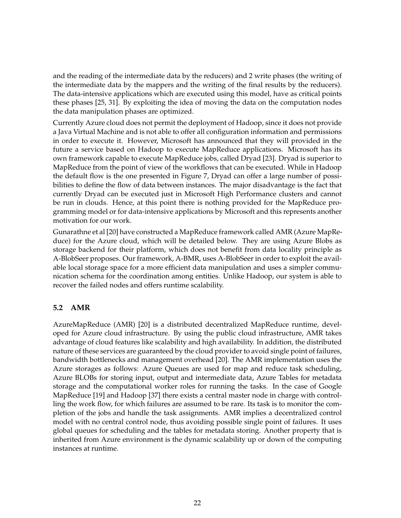and the reading of the intermediate data by the reducers) and 2 write phases (the writing of the intermediate data by the mappers and the writing of the final results by the reducers). The data-intensive applications which are executed using this model, have as critical points these phases [25, 31]. By exploiting the idea of moving the data on the computation nodes the data manipulation phases are optimized.

Currently Azure cloud does not permit the deployment of Hadoop, since it does not provide a Java Virtual Machine and is not able to offer all configuration information and permissions in order to execute it. However, Microsoft has announced that they will provided in the future a service based on Hadoop to execute MapReduce applications. Microsoft has its own framework capable to execute MapReduce jobs, called Dryad [23]. Dryad is superior to MapReduce from the point of view of the workflows that can be executed. While in Hadoop the default flow is the one presented in Figure 7, Dryad can offer a large number of possibilities to define the flow of data between instances. The major disadvantage is the fact that currently Dryad can be executed just in Microsoft High Performance clusters and cannot be run in clouds. Hence, at this point there is nothing provided for the MapReduce programming model or for data-intensive applications by Microsoft and this represents another motivation for our work.

Gunarathne et al [20] have constructed a MapReduce framework called AMR (Azure MapReduce) for the Azure cloud, which will be detailed below. They are using Azure Blobs as storage backend for their platform, which does not benefit from data locality principle as A-BlobSeer proposes. Our framework, A-BMR, uses A-BlobSeer in order to exploit the available local storage space for a more efficient data manipulation and uses a simpler communication schema for the coordination among entities. Unlike Hadoop, our system is able to recover the failed nodes and offers runtime scalability.

#### **5.2 AMR**

AzureMapReduce (AMR) [20] is a distributed decentralized MapReduce runtime, developed for Azure cloud infrastructure. By using the public cloud infrastructure, AMR takes advantage of cloud features like scalability and high availability. In addition, the distributed nature of these services are guaranteed by the cloud provider to avoid single point of failures, bandwidth bottlenecks and management overhead [20]. The AMR implementation uses the Azure storages as follows: Azure Queues are used for map and reduce task scheduling, Azure BLOBs for storing input, output and intermediate data, Azure Tables for metadata storage and the computational worker roles for running the tasks. In the case of Google MapReduce [19] and Hadoop [37] there exists a central master node in charge with controlling the work flow, for which failures are assumed to be rare. Its task is to monitor the completion of the jobs and handle the task assignments. AMR implies a decentralized control model with no central control node, thus avoiding possible single point of failures. It uses global queues for scheduling and the tables for metadata storing. Another property that is inherited from Azure environment is the dynamic scalability up or down of the computing instances at runtime.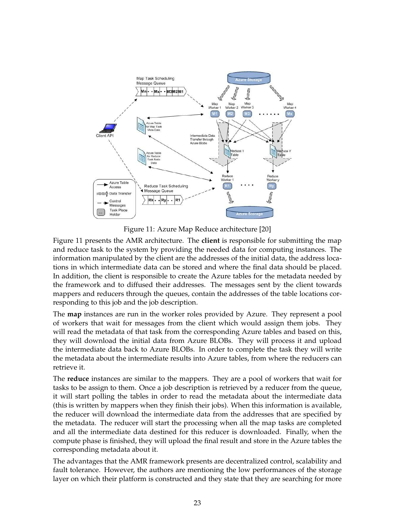

Figure 11: Azure Map Reduce architecture [20]

Figure 11 presents the AMR architecture. The **client** is responsible for submitting the map and reduce task to the system by providing the needed data for computing instances. The information manipulated by the client are the addresses of the initial data, the address locations in which intermediate data can be stored and where the final data should be placed. In addition, the client is responsible to create the Azure tables for the metadata needed by the framework and to diffused their addresses. The messages sent by the client towards mappers and reducers through the queues, contain the addresses of the table locations corresponding to this job and the job description.

The **map** instances are run in the worker roles provided by Azure. They represent a pool of workers that wait for messages from the client which would assign them jobs. They will read the metadata of that task from the corresponding Azure tables and based on this, they will download the initial data from Azure BLOBs. They will process it and upload the intermediate data back to Azure BLOBs. In order to complete the task they will write the metadata about the intermediate results into Azure tables, from where the reducers can retrieve it.

The **reduce** instances are similar to the mappers. They are a pool of workers that wait for tasks to be assign to them. Once a job description is retrieved by a reducer from the queue, it will start polling the tables in order to read the metadata about the intermediate data (this is written by mappers when they finish their jobs). When this information is available, the reducer will download the intermediate data from the addresses that are specified by the metadata. The reducer will start the processing when all the map tasks are completed and all the intermediate data destined for this reducer is downloaded. Finally, when the compute phase is finished, they will upload the final result and store in the Azure tables the corresponding metadata about it.

The advantages that the AMR framework presents are decentralized control, scalability and fault tolerance. However, the authors are mentioning the low performances of the storage layer on which their platform is constructed and they state that they are searching for more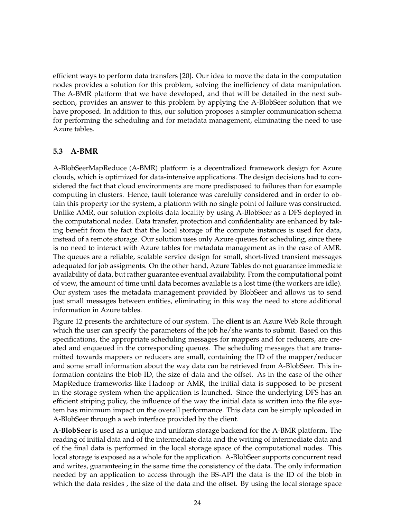efficient ways to perform data transfers [20]. Our idea to move the data in the computation nodes provides a solution for this problem, solving the inefficiency of data manipulation. The A-BMR platform that we have developed, and that will be detailed in the next subsection, provides an answer to this problem by applying the A-BlobSeer solution that we have proposed. In addition to this, our solution proposes a simpler communication schema for performing the scheduling and for metadata management, eliminating the need to use Azure tables.

#### **5.3 A-BMR**

A-BlobSeerMapReduce (A-BMR) platform is a decentralized framework design for Azure clouds, which is optimized for data-intensive applications. The design decisions had to considered the fact that cloud environments are more predisposed to failures than for example computing in clusters. Hence, fault tolerance was carefully considered and in order to obtain this property for the system, a platform with no single point of failure was constructed. Unlike AMR, our solution exploits data locality by using A-BlobSeer as a DFS deployed in the computational nodes. Data transfer, protection and confidentiality are enhanced by taking benefit from the fact that the local storage of the compute instances is used for data, instead of a remote storage. Our solution uses only Azure queues for scheduling, since there is no need to interact with Azure tables for metadata management as in the case of AMR. The queues are a reliable, scalable service design for small, short-lived transient messages adequated for job assigments. On the other hand, Azure Tables do not guarantee immediate availability of data, but rather guarantee eventual availability. From the computational point of view, the amount of time until data becomes available is a lost time (the workers are idle). Our system uses the metadata management provided by BlobSeer and allows us to send just small messages between entities, eliminating in this way the need to store additional information in Azure tables.

Figure 12 presents the architecture of our system. The **client** is an Azure Web Role through which the user can specify the parameters of the job he/she wants to submit. Based on this specifications, the appropriate scheduling messages for mappers and for reducers, are created and enqueued in the corresponding queues. The scheduling messages that are transmitted towards mappers or reducers are small, containing the ID of the mapper/reducer and some small information about the way data can be retrieved from A-BlobSeer. This information contains the blob ID, the size of data and the offset. As in the case of the other MapReduce frameworks like Hadoop or AMR, the initial data is supposed to be present in the storage system when the application is launched. Since the underlying DFS has an efficient striping policy, the influence of the way the initial data is written into the file system has minimum impact on the overall performance. This data can be simply uploaded in A-BlobSeer through a web interface provided by the client.

**A-BlobSeer** is used as a unique and uniform storage backend for the A-BMR platform. The reading of initial data and of the intermediate data and the writing of intermediate data and of the final data is performed in the local storage space of the computational nodes. This local storage is exposed as a whole for the application. A-BlobSeer supports concurrent read and writes, guaranteeing in the same time the consistency of the data. The only information needed by an application to access through the BS-API the data is the ID of the blob in which the data resides , the size of the data and the offset. By using the local storage space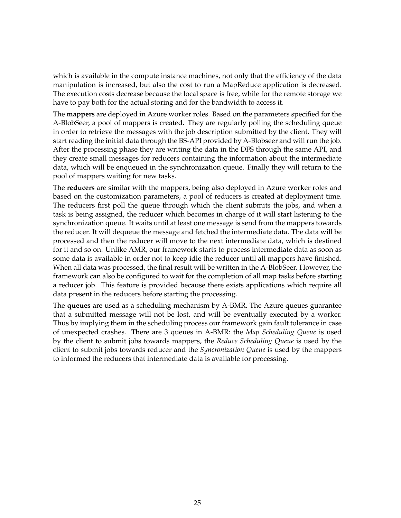which is available in the compute instance machines, not only that the efficiency of the data manipulation is increased, but also the cost to run a MapReduce application is decreased. The execution costs decrease because the local space is free, while for the remote storage we have to pay both for the actual storing and for the bandwidth to access it.

The **mappers** are deployed in Azure worker roles. Based on the parameters specified for the A-BlobSeer, a pool of mappers is created. They are regularly polling the scheduling queue in order to retrieve the messages with the job description submitted by the client. They will start reading the initial data through the BS-API provided by A-Blobseer and will run the job. After the processing phase they are writing the data in the DFS through the same API, and they create small messages for reducers containing the information about the intermediate data, which will be enqueued in the synchronization queue. Finally they will return to the pool of mappers waiting for new tasks.

The **reducers** are similar with the mappers, being also deployed in Azure worker roles and based on the customization parameters, a pool of reducers is created at deployment time. The reducers first poll the queue through which the client submits the jobs, and when a task is being assigned, the reducer which becomes in charge of it will start listening to the synchronization queue. It waits until at least one message is send from the mappers towards the reducer. It will dequeue the message and fetched the intermediate data. The data will be processed and then the reducer will move to the next intermediate data, which is destined for it and so on. Unlike AMR, our framework starts to process intermediate data as soon as some data is available in order not to keep idle the reducer until all mappers have finished. When all data was processed, the final result will be written in the A-BlobSeer. However, the framework can also be configured to wait for the completion of all map tasks before starting a reducer job. This feature is provided because there exists applications which require all data present in the reducers before starting the processing.

The **queues** are used as a scheduling mechanism by A-BMR. The Azure queues guarantee that a submitted message will not be lost, and will be eventually executed by a worker. Thus by implying them in the scheduling process our framework gain fault tolerance in case of unexpected crashes. There are 3 queues in A-BMR: the *Map Scheduling Queue* is used by the client to submit jobs towards mappers, the *Reduce Scheduling Queue* is used by the client to submit jobs towards reducer and the *Syncronization Queue* is used by the mappers to informed the reducers that intermediate data is available for processing.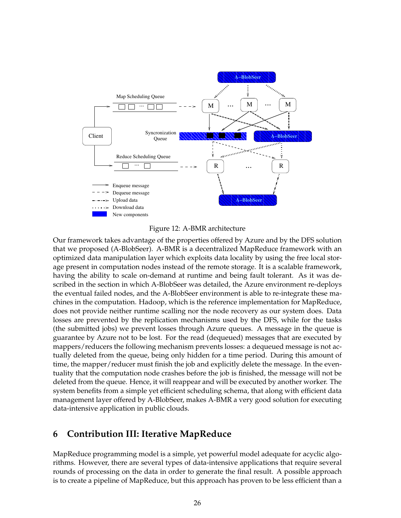



Our framework takes advantage of the properties offered by Azure and by the DFS solution that we proposed (A-BlobSeer). A-BMR is a decentralized MapReduce framework with an optimized data manipulation layer which exploits data locality by using the free local storage present in computation nodes instead of the remote storage. It is a scalable framework, having the ability to scale on-demand at runtime and being fault tolerant. As it was described in the section in which A-BlobSeer was detailed, the Azure environment re-deploys the eventual failed nodes, and the A-BlobSeer environment is able to re-integrate these machines in the computation. Hadoop, which is the reference implementation for MapReduce, does not provide neither runtime scalling nor the node recovery as our system does. Data losses are prevented by the replication mechanisms used by the DFS, while for the tasks (the submitted jobs) we prevent losses through Azure queues. A message in the queue is guarantee by Azure not to be lost. For the read (dequeued) messages that are executed by mappers/reducers the following mechanism prevents losses: a dequeued message is not actually deleted from the queue, being only hidden for a time period. During this amount of time, the mapper/reducer must finish the job and explicitly delete the message. In the eventuality that the computation node crashes before the job is finished, the message will not be deleted from the queue. Hence, it will reappear and will be executed by another worker. The system benefits from a simple yet efficient scheduling schema, that along with efficient data management layer offered by A-BlobSeer, makes A-BMR a very good solution for executing data-intensive application in public clouds.

# **6 Contribution III: Iterative MapReduce**

MapReduce programming model is a simple, yet powerful model adequate for acyclic algorithms. However, there are several types of data-intensive applications that require several rounds of processing on the data in order to generate the final result. A possible approach is to create a pipeline of MapReduce, but this approach has proven to be less efficient than a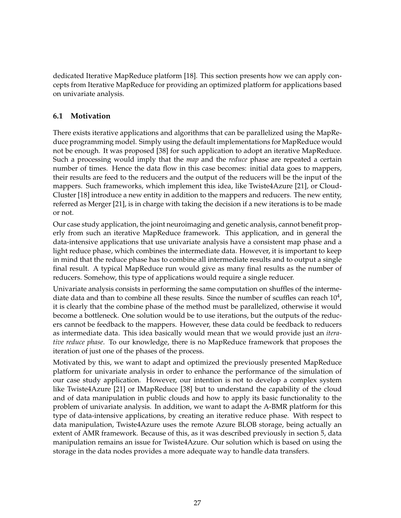dedicated Iterative MapReduce platform [18]. This section presents how we can apply concepts from Iterative MapReduce for providing an optimized platform for applications based on univariate analysis.

#### **6.1 Motivation**

There exists iterative applications and algorithms that can be parallelized using the MapReduce programming model. Simply using the default implementations for MapReduce would not be enough. It was proposed [38] for such application to adopt an iterative MapReduce. Such a processing would imply that the *map* and the *reduce* phase are repeated a certain number of times. Hence the data flow in this case becomes: initial data goes to mappers, their results are feed to the reducers and the output of the reducers will be the input of the mappers. Such frameworks, which implement this idea, like Twiste4Azure [21], or Cloud-Cluster [18] introduce a new entity in addition to the mappers and reducers. The new entity, referred as Merger [21], is in charge with taking the decision if a new iterations is to be made or not.

Our case study application, the joint neuroimaging and genetic analysis, cannot benefit properly from such an iterative MapReduce framework. This application, and in general the data-intensive applications that use univariate analysis have a consistent map phase and a light reduce phase, which combines the intermediate data. However, it is important to keep in mind that the reduce phase has to combine all intermediate results and to output a single final result. A typical MapReduce run would give as many final results as the number of reducers. Somehow, this type of applications would require a single reducer.

Univariate analysis consists in performing the same computation on shuffles of the intermediate data and than to combine all these results. Since the number of scuffles can reach  $10^4$ , it is clearly that the combine phase of the method must be parallelized, otherwise it would become a bottleneck. One solution would be to use iterations, but the outputs of the reducers cannot be feedback to the mappers. However, these data could be feedback to reducers as intermediate data. This idea basically would mean that we would provide just an *iterative reduce phase*. To our knowledge, there is no MapReduce framework that proposes the iteration of just one of the phases of the process.

Motivated by this, we want to adapt and optimized the previously presented MapReduce platform for univariate analysis in order to enhance the performance of the simulation of our case study application. However, our intention is not to develop a complex system like Twiste4Azure [21] or IMapReduce [38] but to understand the capability of the cloud and of data manipulation in public clouds and how to apply its basic functionality to the problem of univariate analysis. In addition, we want to adapt the A-BMR platform for this type of data-intensive applications, by creating an iterative reduce phase. With respect to data manipulation, Twiste4Azure uses the remote Azure BLOB storage, being actually an extent of AMR framework. Because of this, as it was described previously in section 5, data manipulation remains an issue for Twiste4Azure. Our solution which is based on using the storage in the data nodes provides a more adequate way to handle data transfers.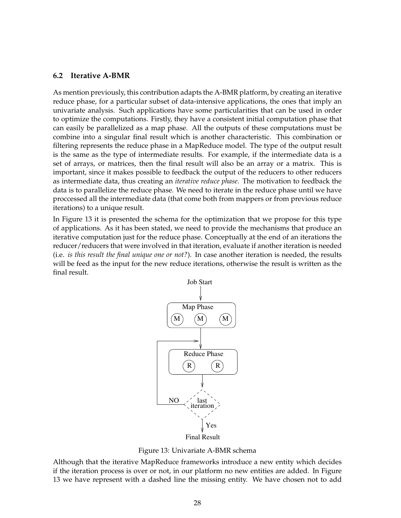#### **6.2 Iterative A-BMR**

As mention previously, this contribution adapts the A-BMR platform, by creating an iterative reduce phase, for a particular subset of data-intensive applications, the ones that imply an univariate analysis. Such applications have some particularities that can be used in order to optimize the computations. Firstly, they have a consistent initial computation phase that can easily be parallelized as a map phase. All the outputs of these computations must be combine into a singular final result which is another characteristic. This combination or filtering represents the reduce phase in a MapReduce model. The type of the output result is the same as the type of intermediate results. For example, if the intermediate data is a set of arrays, or matrices, then the final result will also be an array or a matrix. This is important, since it makes possible to feedback the output of the reducers to other reducers as intermediate data, thus creating an *iterative reduce phase*. The motivation to feedback the data is to parallelize the reduce phase. We need to iterate in the reduce phase until we have proccessed all the intermediate data (that come both from mappers or from previous reduce iterations) to a unique result.

In Figure 13 it is presented the schema for the optimization that we propose for this type of applications. As it has been stated, we need to provide the mechanisms that produce an iterative computation just for the reduce phase. Conceptually at the end of an iterations the reducer/reducers that were involved in that iteration, evaluate if another iteration is needed (i.e. *is this result the final unique one or not?*). In case another iteration is needed, the results will be feed as the input for the new reduce iterations, otherwise the result is written as the final result.



Figure 13: Univariate A-BMR schema

Although that the iterative MapReduce frameworks introduce a new entity which decides if the iteration process is over or not, in our platform no new entities are added. In Figure 13 we have represent with a dashed line the missing entity. We have chosen not to add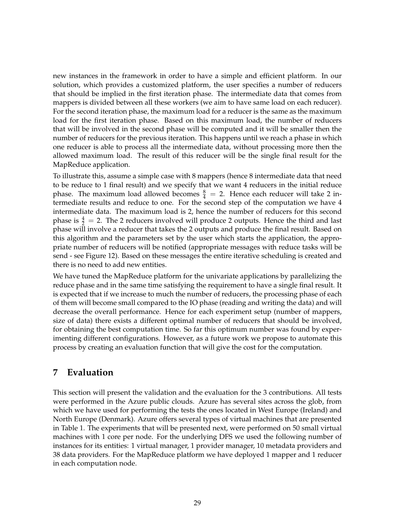new instances in the framework in order to have a simple and efficient platform. In our solution, which provides a customized platform, the user specifies a number of reducers that should be implied in the first iteration phase. The intermediate data that comes from mappers is divided between all these workers (we aim to have same load on each reducer). For the second iteration phase, the maximum load for a reducer is the same as the maximum load for the first iteration phase. Based on this maximum load, the number of reducers that will be involved in the second phase will be computed and it will be smaller then the number of reducers for the previous iteration. This happens until we reach a phase in which one reducer is able to process all the intermediate data, without processing more then the allowed maximum load. The result of this reducer will be the single final result for the MapReduce application.

To illustrate this, assume a simple case with 8 mappers (hence 8 intermediate data that need to be reduce to 1 final result) and we specify that we want 4 reducers in the initial reduce phase. The maximum load allowed becomes  $\frac{8}{4}$  = 2. Hence each reducer will take 2 intermediate results and reduce to one. For the second step of the computation we have 4 intermediate data. The maximum load is 2, hence the number of reducers for this second phase is  $\frac{4}{2}$  = 2. The 2 reducers involved will produce 2 outputs. Hence the third and last phase will involve a reducer that takes the 2 outputs and produce the final result. Based on this algorithm and the parameters set by the user which starts the application, the appropriate number of reducers will be notified (appropriate messages with reduce tasks will be send - see Figure 12). Based on these messages the entire iterative scheduling is created and there is no need to add new entities.

We have tuned the MapReduce platform for the univariate applications by parallelizing the reduce phase and in the same time satisfying the requirement to have a single final result. It is expected that if we increase to much the number of reducers, the processing phase of each of them will become small compared to the IO phase (reading and writing the data) and will decrease the overall performance. Hence for each experiment setup (number of mappers, size of data) there exists a different optimal number of reducers that should be involved, for obtaining the best computation time. So far this optimum number was found by experimenting different configurations. However, as a future work we propose to automate this process by creating an evaluation function that will give the cost for the computation.

# **7 Evaluation**

This section will present the validation and the evaluation for the 3 contributions. All tests were performed in the Azure public clouds. Azure has several sites across the glob, from which we have used for performing the tests the ones located in West Europe (Ireland) and North Europe (Denmark). Azure offers several types of virtual machines that are presented in Table 1. The experiments that will be presented next, were performed on 50 small virtual machines with 1 core per node. For the underlying DFS we used the following number of instances for its entities: 1 virtual manager, 1 provider manager, 10 metadata providers and 38 data providers. For the MapReduce platform we have deployed 1 mapper and 1 reducer in each computation node.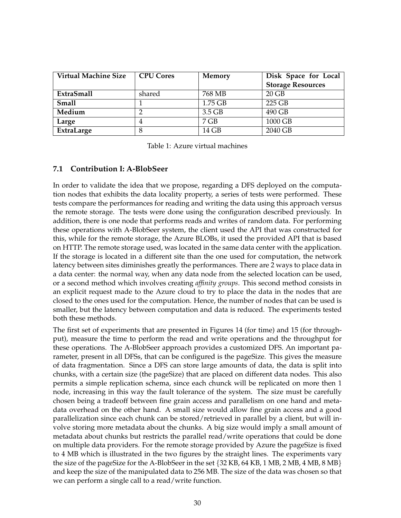| <b>Virtual Machine Size</b> | <b>CPU Cores</b> | <b>Memory</b> | Disk Space for Local     |
|-----------------------------|------------------|---------------|--------------------------|
|                             |                  |               | <b>Storage Resources</b> |
| ExtraSmall                  | shared           | 768 MB        | $20$ GB                  |
| <b>Small</b>                |                  | $1.75$ GB     | 225 GB                   |
| Medium                      |                  | $3.5$ GB      | 490 GB                   |
| Large                       | 4                | 7 GB          | 1000 GB                  |
| ExtraLarge                  | 8                | 14 GB         | 2040 GB                  |

Table 1: Azure virtual machines

#### **7.1 Contribution I: A-BlobSeer**

In order to validate the idea that we propose, regarding a DFS deployed on the computation nodes that exhibits the data locality property, a series of tests were performed. These tests compare the performances for reading and writing the data using this approach versus the remote storage. The tests were done using the configuration described previously. In addition, there is one node that performs reads and writes of random data. For performing these operations with A-BlobSeer system, the client used the API that was constructed for this, while for the remote storage, the Azure BLOBs, it used the provided API that is based on HTTP. The remote storage used, was located in the same data center with the application. If the storage is located in a different site than the one used for computation, the network latency between sites diminishes greatly the performances. There are 2 ways to place data in a data center: the normal way, when any data node from the selected location can be used, or a second method which involves creating *affinity groups*. This second method consists in an explicit request made to the Azure cloud to try to place the data in the nodes that are closed to the ones used for the computation. Hence, the number of nodes that can be used is smaller, but the latency between computation and data is reduced. The experiments tested both these methods.

The first set of experiments that are presented in Figures 14 (for time) and 15 (for throughput), measure the time to perform the read and write operations and the throughput for these operations. The A-BlobSeer approach provides a customized DFS. An important parameter, present in all DFSs, that can be configured is the pageSize. This gives the measure of data fragmentation. Since a DFS can store large amounts of data, the data is split into chunks, with a certain size (the pageSize) that are placed on different data nodes. This also permits a simple replication schema, since each chunck will be replicated on more then 1 node, increasing in this way the fault tolerance of the system. The size must be carefully chosen being a tradeoff between fine grain access and parallelism on one hand and metadata overhead on the other hand. A small size would allow fine grain access and a good parallelization since each chunk can be stored/retrieved in parallel by a client, but will involve storing more metadata about the chunks. A big size would imply a small amount of metadata about chunks but restricts the parallel read/write operations that could be done on multiple data providers. For the remote storage provided by Azure the pageSize is fixed to 4 MB which is illustrated in the two figures by the straight lines. The experiments vary the size of the pageSize for the A-BlobSeer in the set  $\{32 \text{ KB}, 64 \text{ KB}, 1 \text{ MB}, 2 \text{ MB}, 4 \text{ MB}, 8 \text{ MB}\}$ and keep the size of the manipulated data to 256 MB. The size of the data was chosen so that we can perform a single call to a read/write function.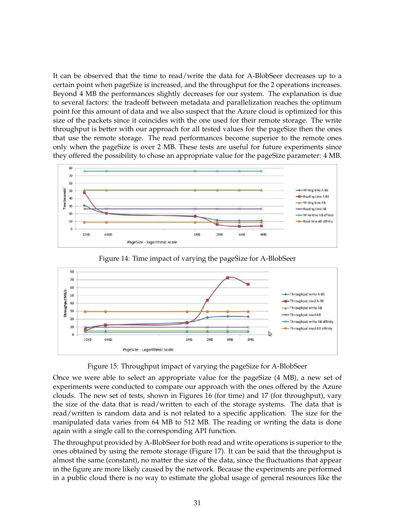It can be observed that the time to read/write the data for A-BlobSeer decreases up to a certain point when pageSize is increased, and the throughput for the 2 operations increases. Beyond 4 MB the performances slightly decreases for our system. The explanation is due to several factors: the tradeoff between metadata and parallelization reaches the optimum point for this amount of data and we also suspect that the Azure cloud is optimized for this size of the packets since it coincides with the one used for their remote storage. The write throughput is better with our approach for all tested values for the pageSize then the ones that use the remote storage. The read performances become superior to the remote ones only when the pageSize is over 2 MB. These tests are useful for future experiments since they offered the possibility to chose an appropriate value for the pageSize parameter: 4 MB.



80 70 60 Throughput MB/s 50 Throughout write A-BS Throughput read A-BS 40 Throughput write AB 30 Throughput read AB  $20$ -Throughput write AB affinity 10 Throughput read AB affinity  $\mathbb{Z}$  $\overline{0}$ 32KB **64KB** 1<sub>MB</sub>  $2ME$ 4MB 8MB PageSize - Logarithmic Scale

Figure 14: Time impact of varying the pageSize for A-BlobSeer

Figure 15: Throughput impact of varying the pageSize for A-BlobSeer

Once we were able to select an appropriate value for the pageSize (4 MB), a new set of experiments were conducted to compare our approach with the ones offered by the Azure clouds. The new set of tests, shown in Figures 16 (for time) and 17 (for throughput), vary the size of the data that is read/written to each of the storage systems. The data that is read/written is random data and is not related to a specific application. The size for the manipulated data varies from 64 MB to 512 MB. The reading or writing the data is done again with a single call to the corresponding API function.

The throughput provided by A-BlobSeer for both read and write operations is superior to the ones obtained by using the remote storage (Figure 17). It can be said that the throughput is almost the same (constant), no matter the size of the data, since the fluctuations that appear in the figure are more likely caused by the network. Because the experiments are performed in a public cloud there is no way to estimate the global usage of general resources like the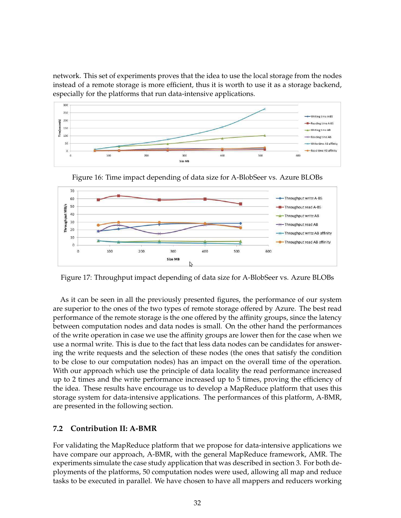network. This set of experiments proves that the idea to use the local storage from the nodes instead of a remote storage is more efficient, thus it is worth to use it as a storage backend, especially for the platforms that run data-intensive applications.





Figure 16: Time impact depending of data size for A-BlobSeer vs. Azure BLOBs

Figure 17: Throughput impact depending of data size for A-BlobSeer vs. Azure BLOBs

As it can be seen in all the previously presented figures, the performance of our system are superior to the ones of the two types of remote storage offered by Azure. The best read performance of the remote storage is the one offered by the affinity groups, since the latency between computation nodes and data nodes is small. On the other hand the performances of the write operation in case we use the affinity groups are lower then for the case when we use a normal write. This is due to the fact that less data nodes can be candidates for answering the write requests and the selection of these nodes (the ones that satisfy the condition to be close to our computation nodes) has an impact on the overall time of the operation. With our approach which use the principle of data locality the read performance increased up to 2 times and the write performance increased up to 5 times, proving the efficiency of the idea. These results have encourage us to develop a MapReduce platform that uses this storage system for data-intensive applications. The performances of this platform, A-BMR, are presented in the following section.

### **7.2 Contribution II: A-BMR**

For validating the MapReduce platform that we propose for data-intensive applications we have compare our approach, A-BMR, with the general MapReduce framework, AMR. The experiments simulate the case study application that was described in section 3. For both deployments of the platforms, 50 computation nodes were used, allowing all map and reduce tasks to be executed in parallel. We have chosen to have all mappers and reducers working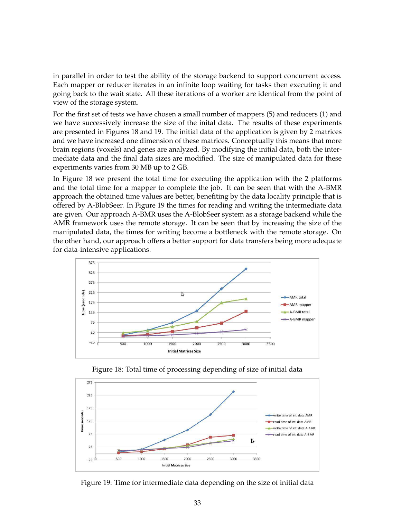in parallel in order to test the ability of the storage backend to support concurrent access. Each mapper or reducer iterates in an infinite loop waiting for tasks then executing it and going back to the wait state. All these iterations of a worker are identical from the point of view of the storage system.

For the first set of tests we have chosen a small number of mappers (5) and reducers (1) and we have successively increase the size of the inital data. The results of these experiments are presented in Figures 18 and 19. The initial data of the application is given by 2 matrices and we have increased one dimension of these matrices. Conceptually this means that more brain regions (voxels) and genes are analyzed. By modifying the initial data, both the intermediate data and the final data sizes are modified. The size of manipulated data for these experiments varies from 30 MB up to 2 GB.

In Figure 18 we present the total time for executing the application with the 2 platforms and the total time for a mapper to complete the job. It can be seen that with the A-BMR approach the obtained time values are better, benefiting by the data locality principle that is offered by A-BlobSeer. In Figure 19 the times for reading and writing the intermediate data are given. Our approach A-BMR uses the A-BlobSeer system as a storage backend while the AMR framework uses the remote storage. It can be seen that by increasing the size of the manipulated data, the times for writing become a bottleneck with the remote storage. On the other hand, our approach offers a better support for data transfers being more adequate for data-intensive applications.



Figure 18: Total time of processing depending of size of initial data



Figure 19: Time for intermediate data depending on the size of initial data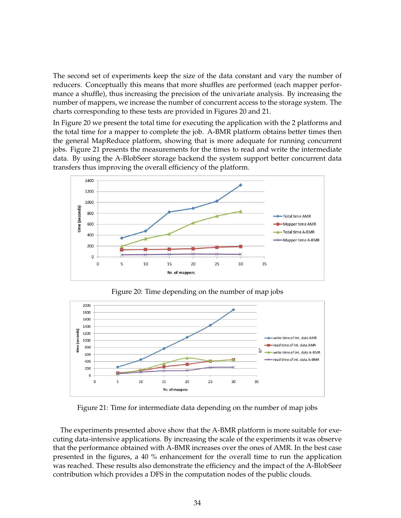The second set of experiments keep the size of the data constant and vary the number of reducers. Conceptually this means that more shuffles are performed (each mapper performance a shuffle), thus increasing the precision of the univariate analysis. By increasing the number of mappers, we increase the number of concurrent access to the storage system. The charts corresponding to these tests are provided in Figures 20 and 21.

In Figure 20 we present the total time for executing the application with the 2 platforms and the total time for a mapper to complete the job. A-BMR platform obtains better times then the general MapReduce platform, showing that is more adequate for running concurrent jobs. Figure 21 presents the measurements for the times to read and write the intermediate data. By using the A-BlobSeer storage backend the system support better concurrent data transfers thus improving the overall efficiency of the platform.



Figure 20: Time depending on the number of map jobs



Figure 21: Time for intermediate data depending on the number of map jobs

The experiments presented above show that the A-BMR platform is more suitable for executing data-intensive applications. By increasing the scale of the experiments it was observe that the performance obtained with A-BMR increases over the ones of AMR. In the best case presented in the figures, a 40 % enhancement for the overall time to run the application was reached. These results also demonstrate the efficiency and the impact of the A-BlobSeer contribution which provides a DFS in the computation nodes of the public clouds.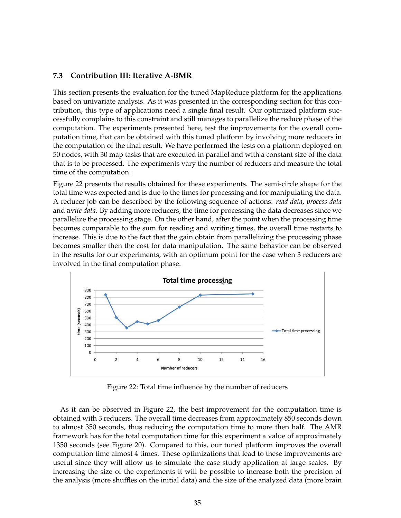#### **7.3 Contribution III: Iterative A-BMR**

This section presents the evaluation for the tuned MapReduce platform for the applications based on univariate analysis. As it was presented in the corresponding section for this contribution, this type of applications need a single final result. Our optimized platform successfully complains to this constraint and still manages to parallelize the reduce phase of the computation. The experiments presented here, test the improvements for the overall computation time, that can be obtained with this tuned platform by involving more reducers in the computation of the final result. We have performed the tests on a platform deployed on 50 nodes, with 30 map tasks that are executed in parallel and with a constant size of the data that is to be processed. The experiments vary the number of reducers and measure the total time of the computation.

Figure 22 presents the results obtained for these experiments. The semi-circle shape for the total time was expected and is due to the times for processing and for manipulating the data. A reducer job can be described by the following sequence of actions: *read data*, *process data* and *write data*. By adding more reducers, the time for processing the data decreases since we parallelize the processing stage. On the other hand, after the point when the processing time becomes comparable to the sum for reading and writing times, the overall time restarts to increase. This is due to the fact that the gain obtain from parallelizing the processing phase becomes smaller then the cost for data manipulation. The same behavior can be observed in the results for our experiments, with an optimum point for the case when 3 reducers are involved in the final computation phase.



Figure 22: Total time influence by the number of reducers

As it can be observed in Figure 22, the best improvement for the computation time is obtained with 3 reducers. The overall time decreases from approximately 850 seconds down to almost 350 seconds, thus reducing the computation time to more then half. The AMR framework has for the total computation time for this experiment a value of approximately 1350 seconds (see Figure 20). Compared to this, our tuned platform improves the overall computation time almost 4 times. These optimizations that lead to these improvements are useful since they will allow us to simulate the case study application at large scales. By increasing the size of the experiments it will be possible to increase both the precision of the analysis (more shuffles on the initial data) and the size of the analyzed data (more brain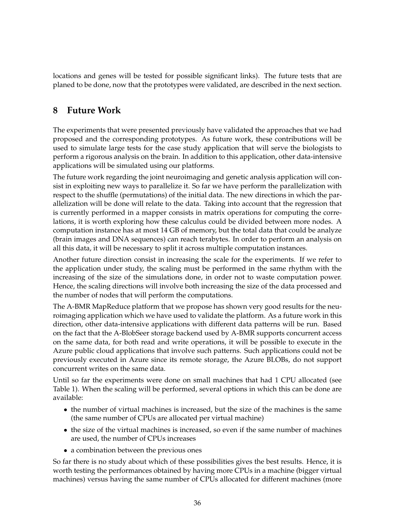locations and genes will be tested for possible significant links). The future tests that are planed to be done, now that the prototypes were validated, are described in the next section.

# **8 Future Work**

The experiments that were presented previously have validated the approaches that we had proposed and the corresponding prototypes. As future work, these contributions will be used to simulate large tests for the case study application that will serve the biologists to perform a rigorous analysis on the brain. In addition to this application, other data-intensive applications will be simulated using our platforms.

The future work regarding the joint neuroimaging and genetic analysis application will consist in exploiting new ways to parallelize it. So far we have perform the parallelization with respect to the shuffle (permutations) of the initial data. The new directions in which the parallelization will be done will relate to the data. Taking into account that the regression that is currently performed in a mapper consists in matrix operations for computing the correlations, it is worth exploring how these calculus could be divided between more nodes. A computation instance has at most 14 GB of memory, but the total data that could be analyze (brain images and DNA sequences) can reach terabytes. In order to perform an analysis on all this data, it will be necessary to split it across multiple computation instances.

Another future direction consist in increasing the scale for the experiments. If we refer to the application under study, the scaling must be performed in the same rhythm with the increasing of the size of the simulations done, in order not to waste computation power. Hence, the scaling directions will involve both increasing the size of the data processed and the number of nodes that will perform the computations.

The A-BMR MapReduce platform that we propose has shown very good results for the neuroimaging application which we have used to validate the platform. As a future work in this direction, other data-intensive applications with different data patterns will be run. Based on the fact that the A-BlobSeer storage backend used by A-BMR supports concurrent access on the same data, for both read and write operations, it will be possible to execute in the Azure public cloud applications that involve such patterns. Such applications could not be previously executed in Azure since its remote storage, the Azure BLOBs, do not support concurrent writes on the same data.

Until so far the experiments were done on small machines that had 1 CPU allocated (see Table 1). When the scaling will be performed, several options in which this can be done are available:

- the number of virtual machines is increased, but the size of the machines is the same (the same number of CPUs are allocated per virtual machine)
- the size of the virtual machines is increased, so even if the same number of machines are used, the number of CPUs increases
- a combination between the previous ones

So far there is no study about which of these possibilities gives the best results. Hence, it is worth testing the performances obtained by having more CPUs in a machine (bigger virtual machines) versus having the same number of CPUs allocated for different machines (more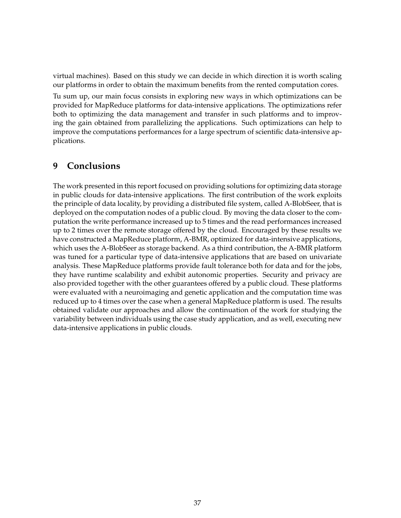virtual machines). Based on this study we can decide in which direction it is worth scaling our platforms in order to obtain the maximum benefits from the rented computation cores.

Tu sum up, our main focus consists in exploring new ways in which optimizations can be provided for MapReduce platforms for data-intensive applications. The optimizations refer both to optimizing the data management and transfer in such platforms and to improving the gain obtained from parallelizing the applications. Such optimizations can help to improve the computations performances for a large spectrum of scientific data-intensive applications.

# **9 Conclusions**

The work presented in this report focused on providing solutions for optimizing data storage in public clouds for data-intensive applications. The first contribution of the work exploits the principle of data locality, by providing a distributed file system, called A-BlobSeer, that is deployed on the computation nodes of a public cloud. By moving the data closer to the computation the write performance increased up to 5 times and the read performances increased up to 2 times over the remote storage offered by the cloud. Encouraged by these results we have constructed a MapReduce platform, A-BMR, optimized for data-intensive applications, which uses the A-BlobSeer as storage backend. As a third contribution, the A-BMR platform was tuned for a particular type of data-intensive applications that are based on univariate analysis. These MapReduce platforms provide fault tolerance both for data and for the jobs, they have runtime scalability and exhibit autonomic properties. Security and privacy are also provided together with the other guarantees offered by a public cloud. These platforms were evaluated with a neuroimaging and genetic application and the computation time was reduced up to 4 times over the case when a general MapReduce platform is used. The results obtained validate our approaches and allow the continuation of the work for studying the variability between individuals using the case study application, and as well, executing new data-intensive applications in public clouds.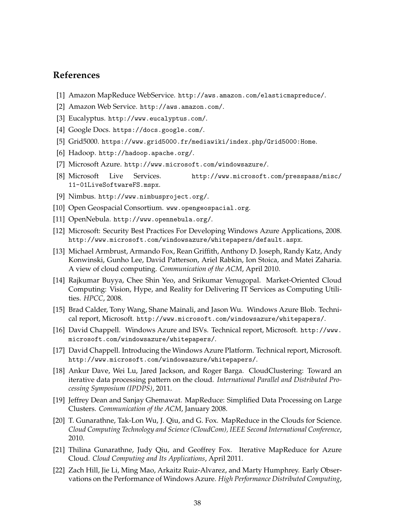### **References**

- [1] Amazon MapReduce WebService. http://aws.amazon.com/elasticmapreduce/.
- [2] Amazon Web Service. http://aws.amazon.com/.
- [3] Eucalyptus. http://www.eucalyptus.com/.
- [4] Google Docs. https://docs.google.com/.
- [5] Grid5000. https://www.grid5000.fr/mediawiki/index.php/Grid5000:Home.
- [6] Hadoop. http://hadoop.apache.org/.
- [7] Microsoft Azure. http://www.microsoft.com/windowsazure/.
- [8] Microsoft Live Services. http://www.microsoft.com/presspass/misc/ 11-01LiveSoftwareFS.mspx.
- [9] Nimbus. http://www.nimbusproject.org/.
- [10] Open Geospacial Consortium. www.opengeospacial.org.
- [11] OpenNebula. http://www.opennebula.org/.
- [12] Microsoft: Security Best Practices For Developing Windows Azure Applications, 2008. http://www.microsoft.com/windowsazure/whitepapers/default.aspx.
- [13] Michael Armbrust, Armando Fox, Rean Griffith, Anthony D. Joseph, Randy Katz, Andy Konwinski, Gunho Lee, David Patterson, Ariel Rabkin, Ion Stoica, and Matei Zaharia. A view of cloud computing. *Communication of the ACM*, April 2010.
- [14] Rajkumar Buyya, Chee Shin Yeo, and Srikumar Venugopal. Market-Oriented Cloud Computing: Vision, Hype, and Reality for Delivering IT Services as Computing Utilities. *HPCC*, 2008.
- [15] Brad Calder, Tony Wang, Shane Mainali, and Jason Wu. Windows Azure Blob. Technical report, Microsoft. http://www.microsoft.com/windowsazure/whitepapers/.
- [16] David Chappell. Windows Azure and ISVs. Technical report, Microsoft. http://www. microsoft.com/windowsazure/whitepapers/.
- [17] David Chappell. Introducing the Windows Azure Platform. Technical report, Microsoft. http://www.microsoft.com/windowsazure/whitepapers/.
- [18] Ankur Dave, Wei Lu, Jared Jackson, and Roger Barga. CloudClustering: Toward an iterative data processing pattern on the cloud. *International Parallel and Distributed Processing Symposium (IPDPS)*, 2011.
- [19] Jeffrey Dean and Sanjay Ghemawat. MapReduce: Simplified Data Processing on Large Clusters. *Communication of the ACM*, January 2008.
- [20] T. Gunarathne, Tak-Lon Wu, J. Qiu, and G. Fox. MapReduce in the Clouds for Science. *Cloud Computing Technology and Science (CloudCom), IEEE Second International Conference*, 2010.
- [21] Thilina Gunarathne, Judy Qiu, and Geoffrey Fox. Iterative MapReduce for Azure Cloud. *Cloud Computing and Its Applications*, April 2011.
- [22] Zach Hill, Jie Li, Ming Mao, Arkaitz Ruiz-Alvarez, and Marty Humphrey. Early Observations on the Performance of Windows Azure. *High Performance Distributed Computing*,